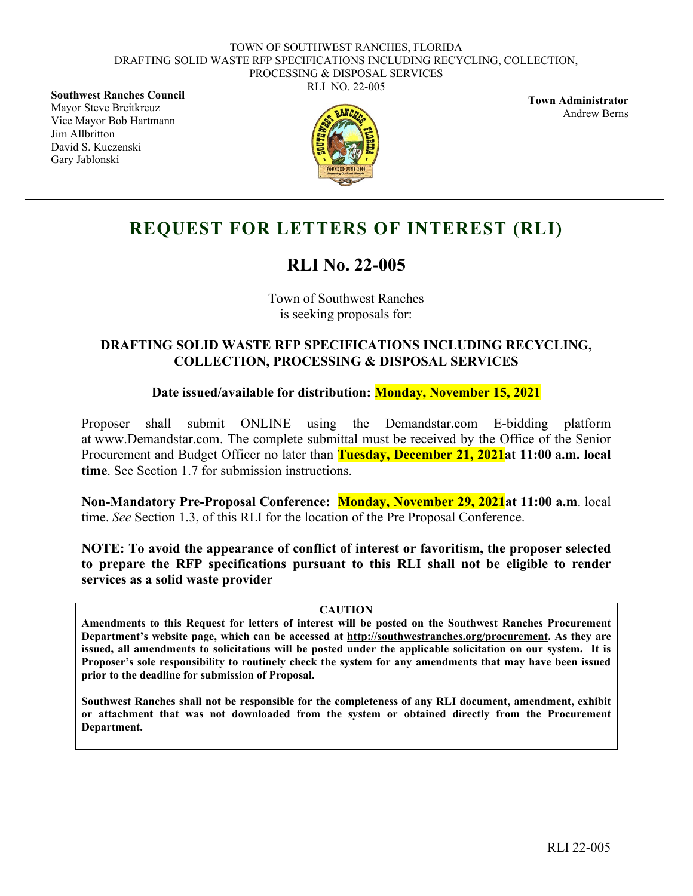RLI NO. 22-005

**Southwest Ranches Council** Mayor Steve Breitkreuz Vice Mayor Bob Hartmann Jim Allbritton David S. Kuczenski Gary Jablonski



**Town Administrator** Andrew Berns

# **REQUEST FOR LETTERS OF INTEREST (RLI)**

# **RLI No. 22-005**

Town of Southwest Ranches is seeking proposals for:

### **DRAFTING SOLID WASTE RFP SPECIFICATIONS INCLUDING RECYCLING, COLLECTION, PROCESSING & DISPOSAL SERVICES**

### **Date issued/available for distribution: Monday, November 15, 2021**

Proposer shall submit ONLINE using the Demandstar.com E-bidding platform at www.Demandstar.com. The complete submittal must be received by the Office of the Senior Procurement and Budget Officer no later than **Tuesday, December 21, 2021at 11:00 a.m. local time**. See Section 1.7 for submission instructions.

**Non-Mandatory Pre-Proposal Conference: Monday, November 29, 2021at 11:00 a.m**. local time. *See* Section 1.3, of this RLI for the location of the Pre Proposal Conference.

**NOTE: To avoid the appearance of conflict of interest or favoritism, the proposer selected to prepare the RFP specifications pursuant to this RLI shall not be eligible to render services as a solid waste provider**

#### **CAUTION**

**Amendments to this Request for letters of interest will be posted on the Southwest Ranches Procurement Department's website page, which can be accessed at http://southwestranches.org/procurement. As they are issued, all amendments to solicitations will be posted under the applicable solicitation on our system. It is Proposer's sole responsibility to routinely check the system for any amendments that may have been issued prior to the deadline for submission of Proposal.**

**Southwest Ranches shall not be responsible for the completeness of any RLI document, amendment, exhibit or attachment that was not downloaded from the system or obtained directly from the Procurement Department.**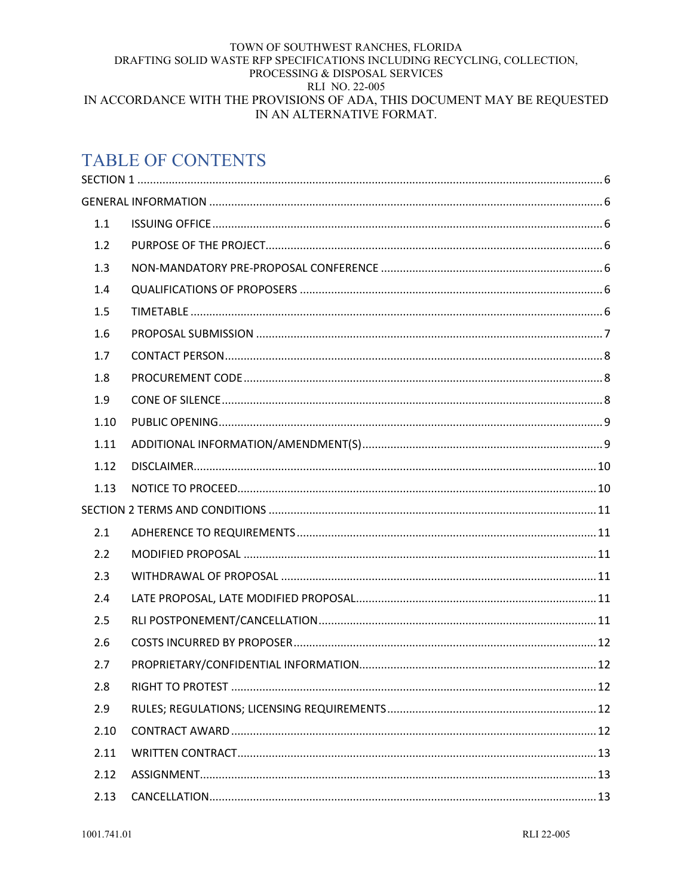#### TOWN OF SOUTHWEST RANCHES, FLORIDA DRAFTING SOLID WASTE RFP SPECIFICATIONS INCLUDING RECYCLING, COLLECTION, PROCESSING & DISPOSAL SERVICES RLI NO. 22-005 IN ACCORDANCE WITH THE PROVISIONS OF ADA, THIS DOCUMENT MAY BE REQUESTED IN AN ALTERNATIVE FORMAT.

# **TABLE OF CONTENTS**

| 1.1  |  |
|------|--|
| 1.2  |  |
| 1.3  |  |
| 1.4  |  |
| 1.5  |  |
| 1.6  |  |
| 1.7  |  |
| 1.8  |  |
| 1.9  |  |
| 1.10 |  |
| 1.11 |  |
| 1.12 |  |
| 1.13 |  |
|      |  |
| 2.1  |  |
| 2.2  |  |
| 2.3  |  |
| 2.4  |  |
| 2.5  |  |
| 2.6  |  |
| 2.7  |  |
| 2.8  |  |
| 2.9  |  |
| 2.10 |  |
| 2.11 |  |
| 2.12 |  |
| 2.13 |  |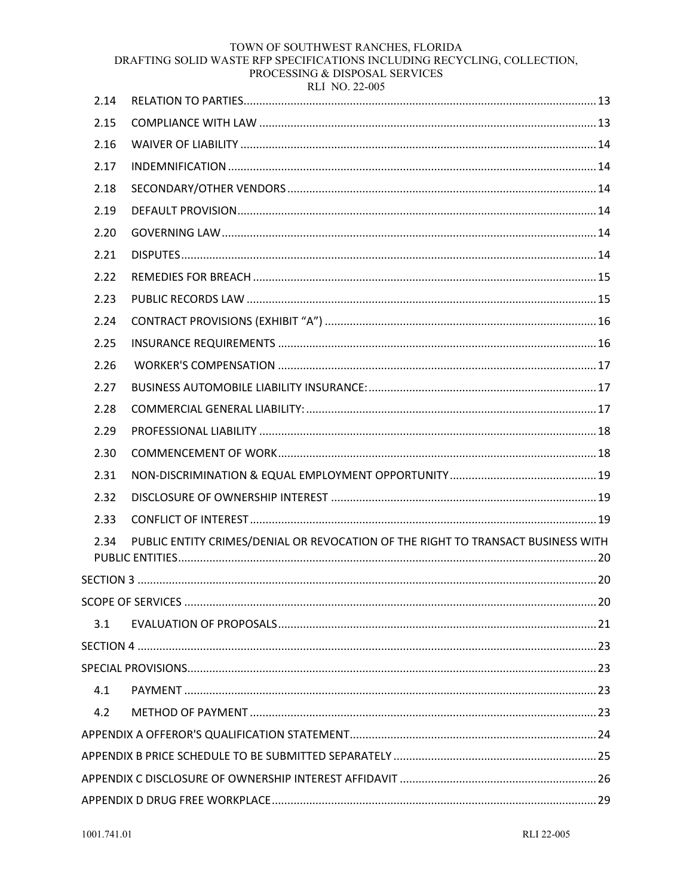#### TOWN OF SOUTHWEST RANCHES, FLORIDA

DRAFTING SOLID WASTE RFP SPECIFICATIONS INCLUDING RECYCLING, COLLECTION,

|      | PROCESSING & DISPOSAL SERVICES<br>RLI NO. 22-005 |    |
|------|--------------------------------------------------|----|
| 2.14 |                                                  |    |
| 2.15 |                                                  |    |
| 2.16 |                                                  |    |
| 2.17 |                                                  |    |
| 2.18 |                                                  |    |
| 2.19 |                                                  |    |
| 2.20 |                                                  |    |
| 2.21 |                                                  |    |
| 2.22 |                                                  |    |
| 2.23 |                                                  |    |
| 2.24 |                                                  |    |
| 2.25 |                                                  |    |
| 2.26 |                                                  |    |
| 2.27 |                                                  |    |
| 2.28 |                                                  |    |
| 2.29 |                                                  |    |
| 2.30 |                                                  |    |
| 2.31 |                                                  |    |
|      | DISCLOSURE OF OWNERSHIP INTEREST                 | 10 |

| 2.32 |                                                                                  |  |
|------|----------------------------------------------------------------------------------|--|
| 2.33 |                                                                                  |  |
| 2.34 | PUBLIC ENTITY CRIMES/DENIAL OR REVOCATION OF THE RIGHT TO TRANSACT BUSINESS WITH |  |
|      |                                                                                  |  |
|      |                                                                                  |  |
| 3.1  |                                                                                  |  |
|      |                                                                                  |  |
|      |                                                                                  |  |
| 4.1  |                                                                                  |  |
| 4.2  |                                                                                  |  |
|      |                                                                                  |  |
|      |                                                                                  |  |
|      |                                                                                  |  |
|      |                                                                                  |  |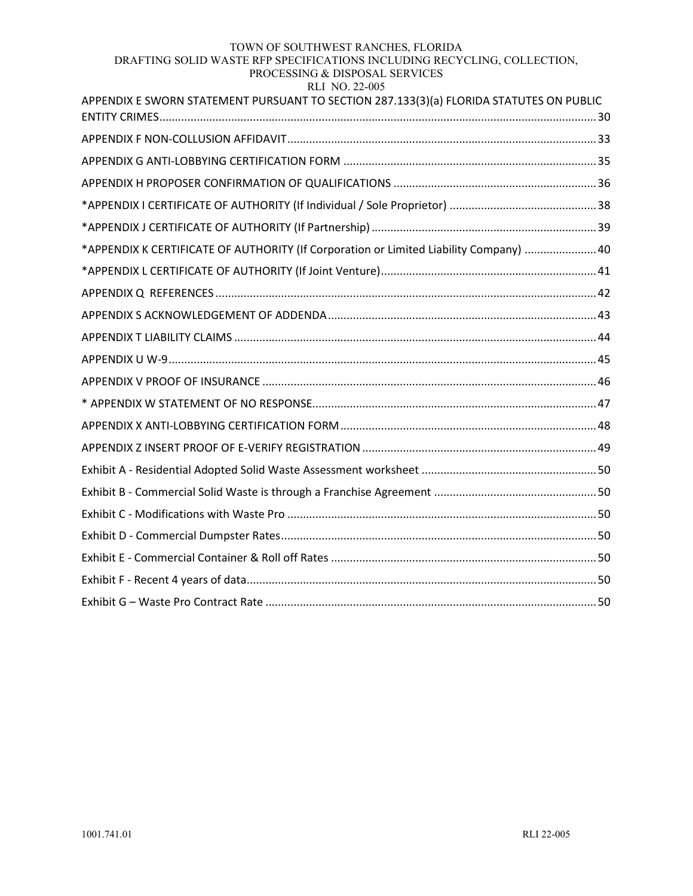#### TOWN OF SOUTHWEST RANCHES, FLORIDA

#### DRAFTING SOLID WASTE RFP SPECIFICATIONS INCLUDING RECYCLING, COLLECTION, PROCESSING & DISPOSAL SERVICES

#### RLI NO. 22-005

| APPENDIX E SWORN STATEMENT PURSUANT TO SECTION 287.133(3)(a) FLORIDA STATUTES ON PUBLIC |  |
|-----------------------------------------------------------------------------------------|--|
|                                                                                         |  |
|                                                                                         |  |
|                                                                                         |  |
|                                                                                         |  |
|                                                                                         |  |
| *APPENDIX K CERTIFICATE OF AUTHORITY (If Corporation or Limited Liability Company)  40  |  |
|                                                                                         |  |
|                                                                                         |  |
|                                                                                         |  |
|                                                                                         |  |
|                                                                                         |  |
|                                                                                         |  |
|                                                                                         |  |
|                                                                                         |  |
|                                                                                         |  |
|                                                                                         |  |
|                                                                                         |  |
|                                                                                         |  |
|                                                                                         |  |
|                                                                                         |  |
|                                                                                         |  |
|                                                                                         |  |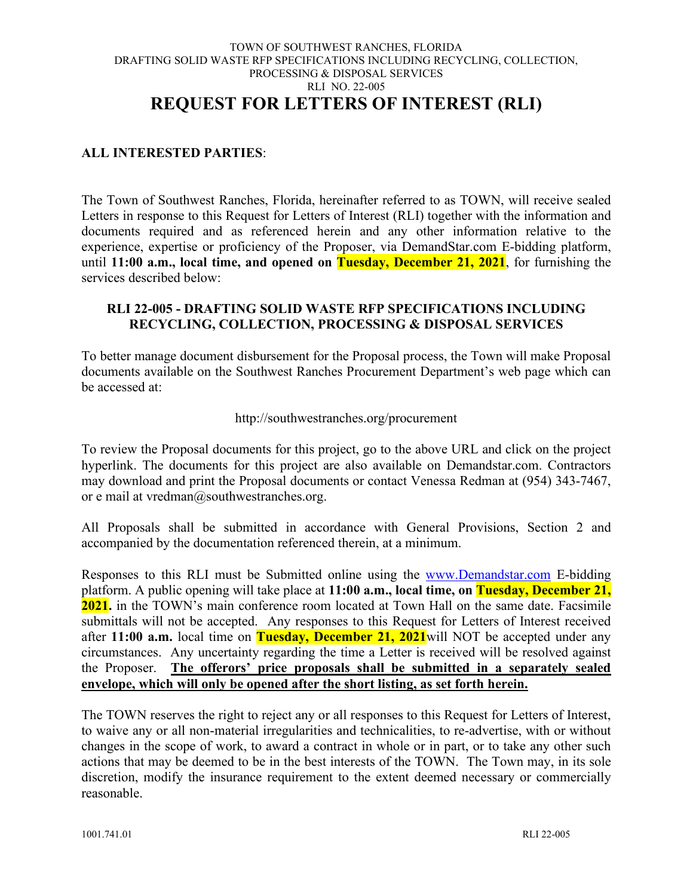#### TOWN OF SOUTHWEST RANCHES, FLORIDA DRAFTING SOLID WASTE RFP SPECIFICATIONS INCLUDING RECYCLING, COLLECTION, PROCESSING & DISPOSAL SERVICES RLI NO. 22-005 **REQUEST FOR LETTERS OF INTEREST (RLI)**

#### **ALL INTERESTED PARTIES**:

The Town of Southwest Ranches, Florida, hereinafter referred to as TOWN, will receive sealed Letters in response to this Request for Letters of Interest (RLI) together with the information and documents required and as referenced herein and any other information relative to the experience, expertise or proficiency of the Proposer, via DemandStar.com E-bidding platform, until **11:00 a.m., local time, and opened on Tuesday, December 21, 2021**, for furnishing the services described below:

#### **RLI 22-005 - DRAFTING SOLID WASTE RFP SPECIFICATIONS INCLUDING RECYCLING, COLLECTION, PROCESSING & DISPOSAL SERVICES**

To better manage document disbursement for the Proposal process, the Town will make Proposal documents available on the Southwest Ranches Procurement Department's web page which can be accessed at:

#### http://southwestranches.org/procurement

To review the Proposal documents for this project, go to the above URL and click on the project hyperlink. The documents for this project are also available on Demandstar.com. Contractors may download and print the Proposal documents or contact Venessa Redman at (954) 343-7467, or e mail at vredman@southwestranches.org.

All Proposals shall be submitted in accordance with General Provisions, Section 2 and accompanied by the documentation referenced therein, at a minimum.

Responses to this RLI must be Submitted online using the [www.Demandstar.com](http://www.demandstar.com/) E-bidding platform. A public opening will take place at **11:00 a.m., local time, on Tuesday, December 21, 2021.** in the TOWN's main conference room located at Town Hall on the same date. Facsimile submittals will not be accepted. Any responses to this Request for Letters of Interest received after **11:00 a.m.** local time on **Tuesday, December 21, 2021**will NOT be accepted under any circumstances. Any uncertainty regarding the time a Letter is received will be resolved against the Proposer. **The offerors' price proposals shall be submitted in a separately sealed envelope, which will only be opened after the short listing, as set forth herein.**

The TOWN reserves the right to reject any or all responses to this Request for Letters of Interest, to waive any or all non-material irregularities and technicalities, to re-advertise, with or without changes in the scope of work, to award a contract in whole or in part, or to take any other such actions that may be deemed to be in the best interests of the TOWN. The Town may, in its sole discretion, modify the insurance requirement to the extent deemed necessary or commercially reasonable.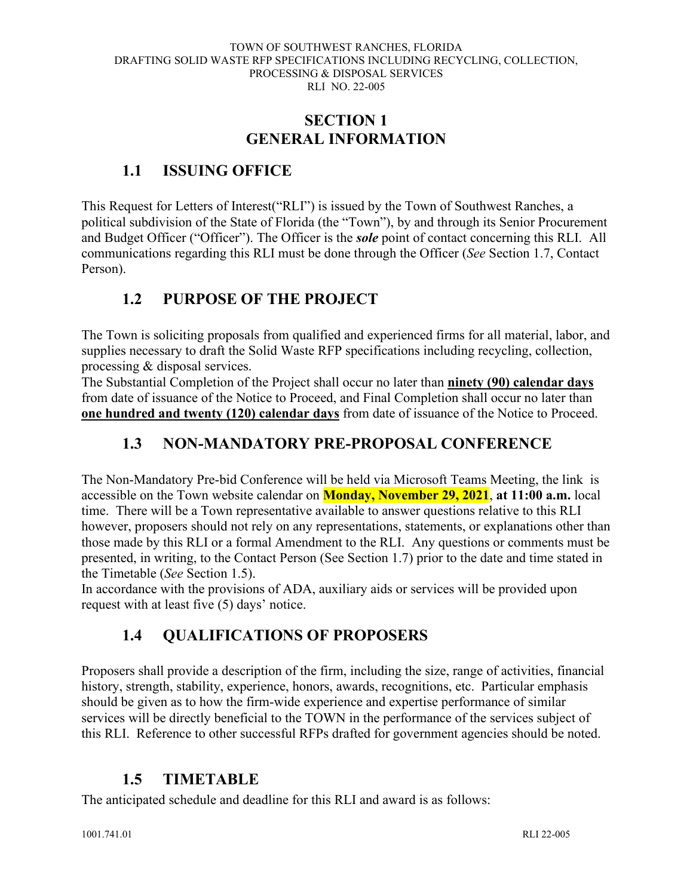### **SECTION 1 GENERAL INFORMATION**

### <span id="page-5-2"></span><span id="page-5-1"></span><span id="page-5-0"></span>**1.1 ISSUING OFFICE**

This Request for Letters of Interest("RLI") is issued by the Town of Southwest Ranches, a political subdivision of the State of Florida (the "Town"), by and through its Senior Procurement and Budget Officer ("Officer"). The Officer is the *sole* point of contact concerning this RLI. All communications regarding this RLI must be done through the Officer (*See* Section 1.7, Contact Person).

### <span id="page-5-3"></span>**1.2 PURPOSE OF THE PROJECT**

The Town is soliciting proposals from qualified and experienced firms for all material, labor, and supplies necessary to draft the Solid Waste RFP specifications including recycling, collection, processing & disposal services.

The Substantial Completion of the Project shall occur no later than **ninety (90) calendar days** from date of issuance of the Notice to Proceed, and Final Completion shall occur no later than **one hundred and twenty (120) calendar days** from date of issuance of the Notice to Proceed.

### <span id="page-5-4"></span>**1.3 NON-MANDATORY PRE-PROPOSAL CONFERENCE**

The Non-Mandatory Pre-bid Conference will be held via Microsoft Teams Meeting, the link is accessible on the Town website calendar on **Monday, November 29, 2021**, **at 11:00 a.m.** local time. There will be a Town representative available to answer questions relative to this RLI however, proposers should not rely on any representations, statements, or explanations other than those made by this RLI or a formal Amendment to the RLI. Any questions or comments must be presented, in writing, to the Contact Person (See Section 1.7) prior to the date and time stated in the Timetable (*See* Section 1.5).

In accordance with the provisions of ADA, auxiliary aids or services will be provided upon request with at least five (5) days' notice.

### <span id="page-5-5"></span>**1.4 QUALIFICATIONS OF PROPOSERS**

Proposers shall provide a description of the firm, including the size, range of activities, financial history, strength, stability, experience, honors, awards, recognitions, etc. Particular emphasis should be given as to how the firm-wide experience and expertise performance of similar services will be directly beneficial to the TOWN in the performance of the services subject of this RLI. Reference to other successful RFPs drafted for government agencies should be noted.

### <span id="page-5-6"></span>**1.5 TIMETABLE**

The anticipated schedule and deadline for this RLI and award is as follows: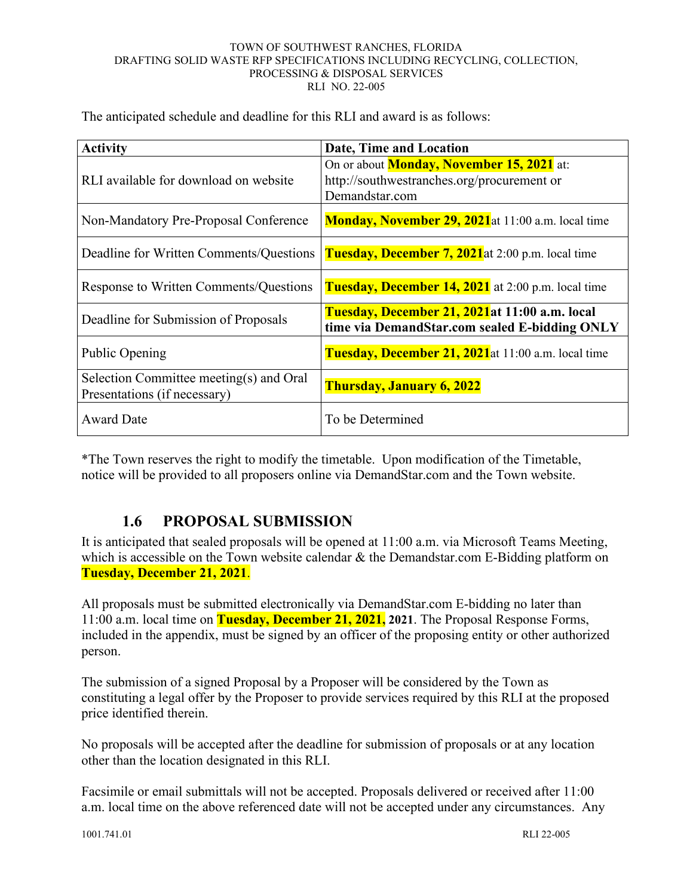The anticipated schedule and deadline for this RLI and award is as follows:

| <b>Activity</b>                                                         | Date, Time and Location                                                                                          |
|-------------------------------------------------------------------------|------------------------------------------------------------------------------------------------------------------|
| RLI available for download on website                                   | On or about <b>Monday, November 15, 2021</b> at:<br>http://southwestranches.org/procurement or<br>Demandstar.com |
| Non-Mandatory Pre-Proposal Conference                                   | <b>Monday, November 29, 2021</b> at 11:00 a.m. local time                                                        |
| Deadline for Written Comments/Questions                                 | Tuesday, December 7, 2021 at 2:00 p.m. local time                                                                |
| Response to Written Comments/Questions                                  | <b>Tuesday, December 14, 2021</b> at 2:00 p.m. local time                                                        |
| Deadline for Submission of Proposals                                    | Tuesday, December 21, 2021at 11:00 a.m. local<br>time via DemandStar.com sealed E-bidding ONLY                   |
| Public Opening                                                          | <b>Tuesday, December 21, 2021</b> at 11:00 a.m. local time                                                       |
| Selection Committee meeting(s) and Oral<br>Presentations (if necessary) | <b>Thursday, January 6, 2022</b>                                                                                 |
| <b>Award Date</b>                                                       | To be Determined                                                                                                 |

\*The Town reserves the right to modify the timetable. Upon modification of the Timetable, notice will be provided to all proposers online via DemandStar.com and the Town website.

### <span id="page-6-0"></span>**1.6 PROPOSAL SUBMISSION**

It is anticipated that sealed proposals will be opened at 11:00 a.m. via Microsoft Teams Meeting, which is accessible on the Town website calendar & the Demandstar.com E-Bidding platform on **Tuesday, December 21, 2021**.

All proposals must be submitted electronically via DemandStar.com E-bidding no later than 11:00 a.m. local time on **Tuesday, December 21, 2021, 2021**. The Proposal Response Forms, included in the appendix, must be signed by an officer of the proposing entity or other authorized person.

The submission of a signed Proposal by a Proposer will be considered by the Town as constituting a legal offer by the Proposer to provide services required by this RLI at the proposed price identified therein.

No proposals will be accepted after the deadline for submission of proposals or at any location other than the location designated in this RLI.

Facsimile or email submittals will not be accepted. Proposals delivered or received after 11:00 a.m. local time on the above referenced date will not be accepted under any circumstances. Any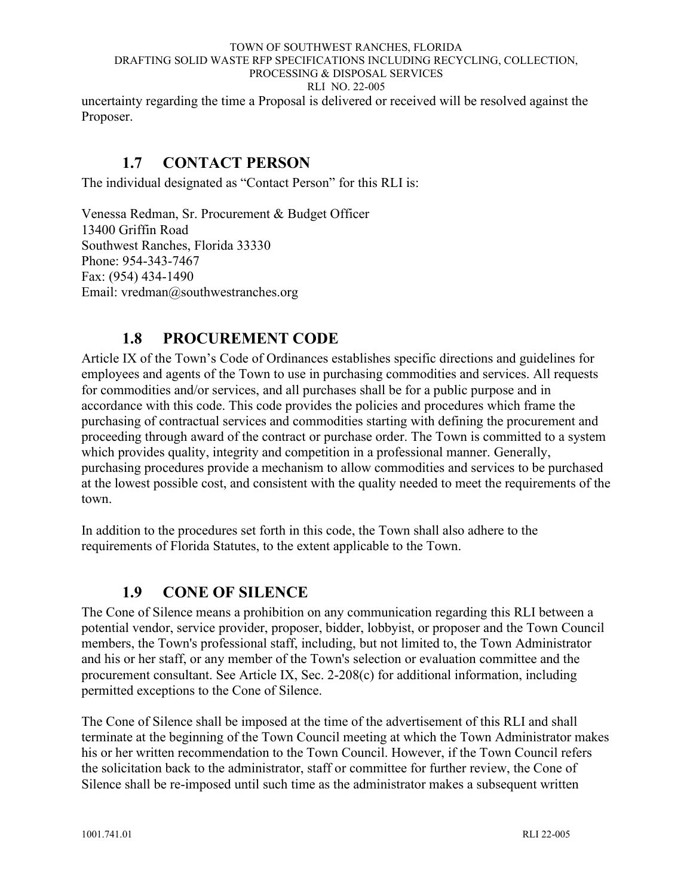uncertainty regarding the time a Proposal is delivered or received will be resolved against the Proposer.

### <span id="page-7-0"></span>**1.7 CONTACT PERSON**

The individual designated as "Contact Person" for this RLI is:

Venessa Redman, Sr. Procurement & Budget Officer 13400 Griffin Road Southwest Ranches, Florida 33330 Phone: 954-343-7467 Fax: (954) 434-1490 Email: vredman@southwestranches.org

### <span id="page-7-1"></span>**1.8 PROCUREMENT CODE**

Article IX of the Town's Code of Ordinances establishes specific directions and guidelines for employees and agents of the Town to use in purchasing commodities and services. All requests for commodities and/or services, and all purchases shall be for a public purpose and in accordance with this code. This code provides the policies and procedures which frame the purchasing of contractual services and commodities starting with defining the procurement and proceeding through award of the contract or purchase order. The Town is committed to a system which provides quality, integrity and competition in a professional manner. Generally, purchasing procedures provide a mechanism to allow commodities and services to be purchased at the lowest possible cost, and consistent with the quality needed to meet the requirements of the town.

In addition to the procedures set forth in this code, the Town shall also adhere to the requirements of Florida Statutes, to the extent applicable to the Town.

### <span id="page-7-2"></span>**1.9 CONE OF SILENCE**

The Cone of Silence means a prohibition on any communication regarding this RLI between a potential vendor, service provider, proposer, bidder, lobbyist, or proposer and the Town Council members, the Town's professional staff, including, but not limited to, the Town Administrator and his or her staff, or any member of the Town's selection or evaluation committee and the procurement consultant. See Article IX, Sec. 2-208(c) for additional information, including permitted exceptions to the Cone of Silence.

The Cone of Silence shall be imposed at the time of the advertisement of this RLI and shall terminate at the beginning of the Town Council meeting at which the Town Administrator makes his or her written recommendation to the Town Council. However, if the Town Council refers the solicitation back to the administrator, staff or committee for further review, the Cone of Silence shall be re-imposed until such time as the administrator makes a subsequent written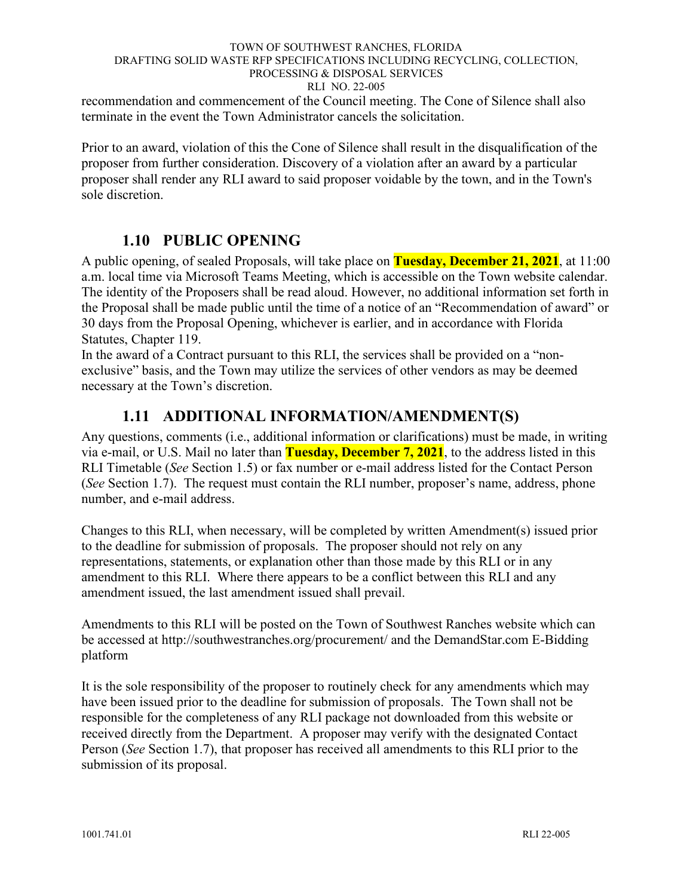#### TOWN OF SOUTHWEST RANCHES, FLORIDA DRAFTING SOLID WASTE RFP SPECIFICATIONS INCLUDING RECYCLING, COLLECTION, PROCESSING & DISPOSAL SERVICES RLI NO. 22-005 recommendation and commencement of the Council meeting. The Cone of Silence shall also

terminate in the event the Town Administrator cancels the solicitation.

Prior to an award, violation of this the Cone of Silence shall result in the disqualification of the proposer from further consideration. Discovery of a violation after an award by a particular proposer shall render any RLI award to said proposer voidable by the town, and in the Town's sole discretion.

### **1.10 PUBLIC OPENING**

<span id="page-8-0"></span>A public opening, of sealed Proposals, will take place on **Tuesday, December 21, 2021**, at 11:00 a.m. local time via Microsoft Teams Meeting, which is accessible on the Town website calendar. The identity of the Proposers shall be read aloud. However, no additional information set forth in the Proposal shall be made public until the time of a notice of an "Recommendation of award" or 30 days from the Proposal Opening, whichever is earlier, and in accordance with Florida Statutes, Chapter 119.

In the award of a Contract pursuant to this RLI, the services shall be provided on a "nonexclusive" basis, and the Town may utilize the services of other vendors as may be deemed necessary at the Town's discretion.

### **1.11 ADDITIONAL INFORMATION/AMENDMENT(S)**

<span id="page-8-1"></span>Any questions, comments (i.e., additional information or clarifications) must be made, in writing via e-mail, or U.S. Mail no later than **Tuesday, December 7, 2021**, to the address listed in this RLI Timetable (*See* Section 1.5) or fax number or e-mail address listed for the Contact Person (*See* Section 1.7). The request must contain the RLI number, proposer's name, address, phone number, and e-mail address.

Changes to this RLI, when necessary, will be completed by written Amendment(s) issued prior to the deadline for submission of proposals. The proposer should not rely on any representations, statements, or explanation other than those made by this RLI or in any amendment to this RLI. Where there appears to be a conflict between this RLI and any amendment issued, the last amendment issued shall prevail.

Amendments to this RLI will be posted on the Town of Southwest Ranches website which can be accessed at http://southwestranches.org/procurement/ and the DemandStar.com E-Bidding platform

It is the sole responsibility of the proposer to routinely check for any amendments which may have been issued prior to the deadline for submission of proposals. The Town shall not be responsible for the completeness of any RLI package not downloaded from this website or received directly from the Department. A proposer may verify with the designated Contact Person (*See* Section 1.7), that proposer has received all amendments to this RLI prior to the submission of its proposal.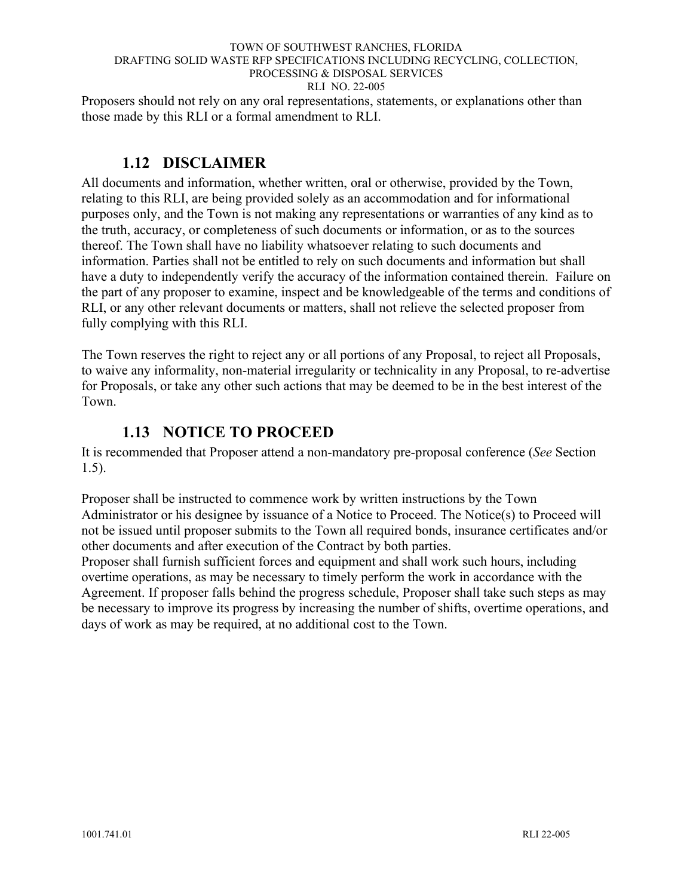Proposers should not rely on any oral representations, statements, or explanations other than those made by this RLI or a formal amendment to RLI.

### **1.12 DISCLAIMER**

<span id="page-9-0"></span>All documents and information, whether written, oral or otherwise, provided by the Town, relating to this RLI, are being provided solely as an accommodation and for informational purposes only, and the Town is not making any representations or warranties of any kind as to the truth, accuracy, or completeness of such documents or information, or as to the sources thereof. The Town shall have no liability whatsoever relating to such documents and information. Parties shall not be entitled to rely on such documents and information but shall have a duty to independently verify the accuracy of the information contained therein. Failure on the part of any proposer to examine, inspect and be knowledgeable of the terms and conditions of RLI, or any other relevant documents or matters, shall not relieve the selected proposer from fully complying with this RLI.

The Town reserves the right to reject any or all portions of any Proposal, to reject all Proposals, to waive any informality, non-material irregularity or technicality in any Proposal, to re-advertise for Proposals, or take any other such actions that may be deemed to be in the best interest of the Town.

### **1.13 NOTICE TO PROCEED**

<span id="page-9-1"></span>It is recommended that Proposer attend a non-mandatory pre-proposal conference (*See* Section 1.5).

Proposer shall be instructed to commence work by written instructions by the Town Administrator or his designee by issuance of a Notice to Proceed. The Notice(s) to Proceed will not be issued until proposer submits to the Town all required bonds, insurance certificates and/or other documents and after execution of the Contract by both parties.

Proposer shall furnish sufficient forces and equipment and shall work such hours, including overtime operations, as may be necessary to timely perform the work in accordance with the Agreement. If proposer falls behind the progress schedule, Proposer shall take such steps as may be necessary to improve its progress by increasing the number of shifts, overtime operations, and days of work as may be required, at no additional cost to the Town.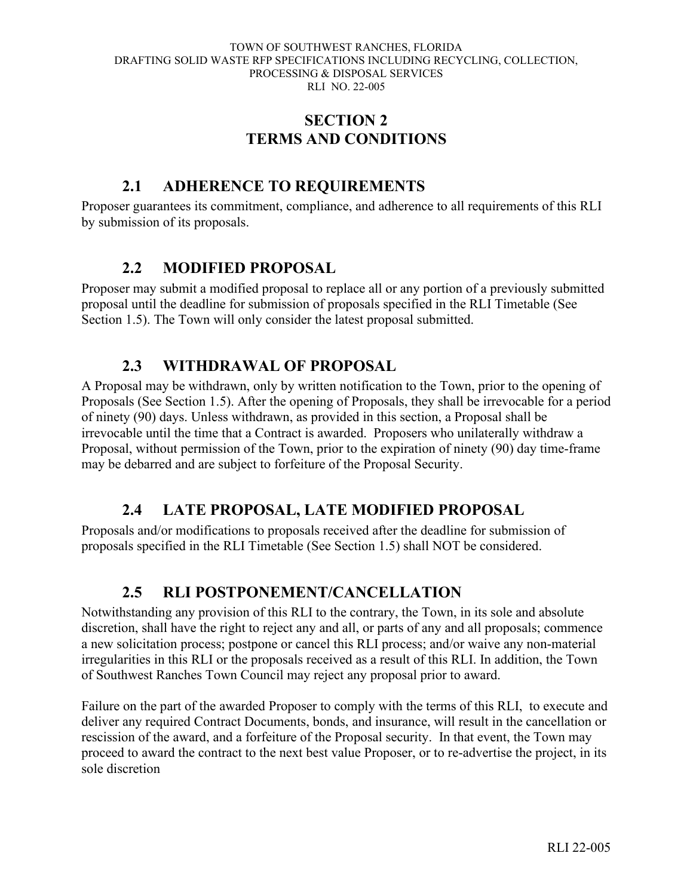### **SECTION 2 TERMS AND CONDITIONS**

### <span id="page-10-0"></span>**2.1 ADHERENCE TO REQUIREMENTS**

<span id="page-10-1"></span>Proposer guarantees its commitment, compliance, and adherence to all requirements of this RLI by submission of its proposals.

### **2.2 MODIFIED PROPOSAL**

<span id="page-10-2"></span>Proposer may submit a modified proposal to replace all or any portion of a previously submitted proposal until the deadline for submission of proposals specified in the RLI Timetable (See Section 1.5). The Town will only consider the latest proposal submitted.

### **2.3 WITHDRAWAL OF PROPOSAL**

<span id="page-10-3"></span>A Proposal may be withdrawn, only by written notification to the Town, prior to the opening of Proposals (See Section 1.5). After the opening of Proposals, they shall be irrevocable for a period of ninety (90) days. Unless withdrawn, as provided in this section, a Proposal shall be irrevocable until the time that a Contract is awarded. Proposers who unilaterally withdraw a Proposal, without permission of the Town, prior to the expiration of ninety (90) day time-frame may be debarred and are subject to forfeiture of the Proposal Security.

### **2.4 LATE PROPOSAL, LATE MODIFIED PROPOSAL**

<span id="page-10-4"></span>Proposals and/or modifications to proposals received after the deadline for submission of proposals specified in the RLI Timetable (See Section 1.5) shall NOT be considered.

### **2.5 RLI POSTPONEMENT/CANCELLATION**

<span id="page-10-5"></span>Notwithstanding any provision of this RLI to the contrary, the Town, in its sole and absolute discretion, shall have the right to reject any and all, or parts of any and all proposals; commence a new solicitation process; postpone or cancel this RLI process; and/or waive any non-material irregularities in this RLI or the proposals received as a result of this RLI. In addition, the Town of Southwest Ranches Town Council may reject any proposal prior to award.

Failure on the part of the awarded Proposer to comply with the terms of this RLI, to execute and deliver any required Contract Documents, bonds, and insurance, will result in the cancellation or rescission of the award, and a forfeiture of the Proposal security. In that event, the Town may proceed to award the contract to the next best value Proposer, or to re-advertise the project, in its sole discretion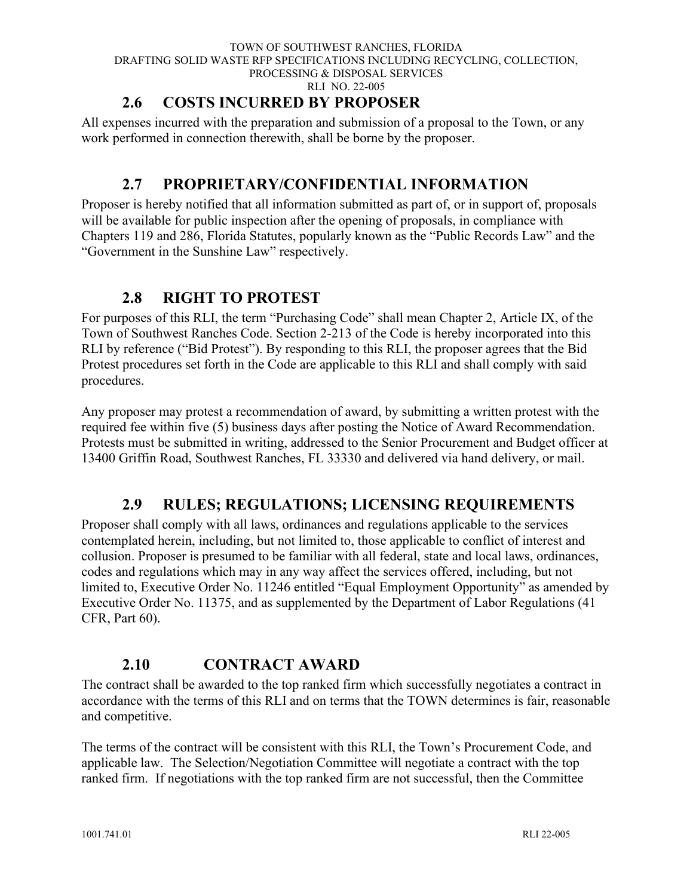### **2.6 COSTS INCURRED BY PROPOSER**

<span id="page-11-0"></span>All expenses incurred with the preparation and submission of a proposal to the Town, or any work performed in connection therewith, shall be borne by the proposer.

### **2.7 PROPRIETARY/CONFIDENTIAL INFORMATION**

<span id="page-11-1"></span>Proposer is hereby notified that all information submitted as part of, or in support of, proposals will be available for public inspection after the opening of proposals, in compliance with Chapters 119 and 286, Florida Statutes, popularly known as the "Public Records Law" and the "Government in the Sunshine Law" respectively.

### **2.8 RIGHT TO PROTEST**

<span id="page-11-2"></span>For purposes of this RLI, the term "Purchasing Code" shall mean Chapter 2, Article IX, of the Town of Southwest Ranches Code. Section 2-213 of the Code is hereby incorporated into this RLI by reference ("Bid Protest"). By responding to this RLI, the proposer agrees that the Bid Protest procedures set forth in the Code are applicable to this RLI and shall comply with said procedures.

Any proposer may protest a recommendation of award, by submitting a written protest with the required fee within five (5) business days after posting the Notice of Award Recommendation. Protests must be submitted in writing, addressed to the Senior Procurement and Budget officer at 13400 Griffin Road, Southwest Ranches, FL 33330 and delivered via hand delivery, or mail.

### **2.9 RULES; REGULATIONS; LICENSING REQUIREMENTS**

<span id="page-11-3"></span>Proposer shall comply with all laws, ordinances and regulations applicable to the services contemplated herein, including, but not limited to, those applicable to conflict of interest and collusion. Proposer is presumed to be familiar with all federal, state and local laws, ordinances, codes and regulations which may in any way affect the services offered, including, but not limited to, Executive Order No. 11246 entitled "Equal Employment Opportunity" as amended by Executive Order No. 11375, and as supplemented by the Department of Labor Regulations (41 CFR, Part 60).

### **2.10 CONTRACT AWARD**

<span id="page-11-4"></span>The contract shall be awarded to the top ranked firm which successfully negotiates a contract in accordance with the terms of this RLI and on terms that the TOWN determines is fair, reasonable and competitive.

The terms of the contract will be consistent with this RLI, the Town's Procurement Code, and applicable law. The Selection/Negotiation Committee will negotiate a contract with the top ranked firm. If negotiations with the top ranked firm are not successful, then the Committee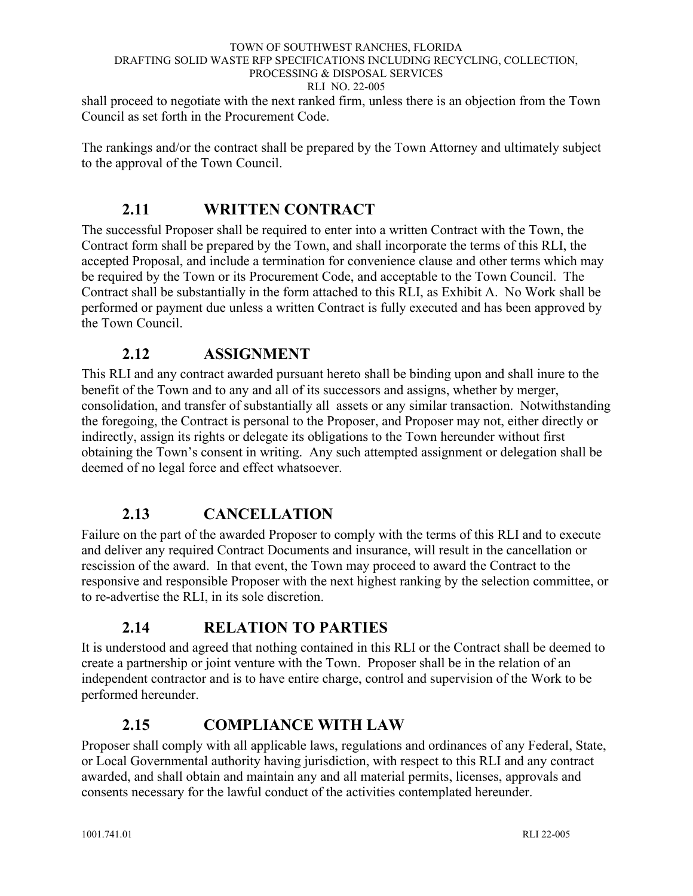shall proceed to negotiate with the next ranked firm, unless there is an objection from the Town Council as set forth in the Procurement Code.

The rankings and/or the contract shall be prepared by the Town Attorney and ultimately subject to the approval of the Town Council.

### **2.11 WRITTEN CONTRACT**

<span id="page-12-0"></span>The successful Proposer shall be required to enter into a written Contract with the Town, the Contract form shall be prepared by the Town, and shall incorporate the terms of this RLI, the accepted Proposal, and include a termination for convenience clause and other terms which may be required by the Town or its Procurement Code, and acceptable to the Town Council. The Contract shall be substantially in the form attached to this RLI, as Exhibit A. No Work shall be performed or payment due unless a written Contract is fully executed and has been approved by the Town Council.

### **2.12 ASSIGNMENT**

<span id="page-12-1"></span>This RLI and any contract awarded pursuant hereto shall be binding upon and shall inure to the benefit of the Town and to any and all of its successors and assigns, whether by merger, consolidation, and transfer of substantially all assets or any similar transaction. Notwithstanding the foregoing, the Contract is personal to the Proposer, and Proposer may not, either directly or indirectly, assign its rights or delegate its obligations to the Town hereunder without first obtaining the Town's consent in writing. Any such attempted assignment or delegation shall be deemed of no legal force and effect whatsoever.

### **2.13 CANCELLATION**

<span id="page-12-2"></span>Failure on the part of the awarded Proposer to comply with the terms of this RLI and to execute and deliver any required Contract Documents and insurance, will result in the cancellation or rescission of the award. In that event, the Town may proceed to award the Contract to the responsive and responsible Proposer with the next highest ranking by the selection committee, or to re-advertise the RLI, in its sole discretion.

### **2.14 RELATION TO PARTIES**

<span id="page-12-3"></span>It is understood and agreed that nothing contained in this RLI or the Contract shall be deemed to create a partnership or joint venture with the Town. Proposer shall be in the relation of an independent contractor and is to have entire charge, control and supervision of the Work to be performed hereunder.

### **2.15 COMPLIANCE WITH LAW**

<span id="page-12-4"></span>Proposer shall comply with all applicable laws, regulations and ordinances of any Federal, State, or Local Governmental authority having jurisdiction, with respect to this RLI and any contract awarded, and shall obtain and maintain any and all material permits, licenses, approvals and consents necessary for the lawful conduct of the activities contemplated hereunder.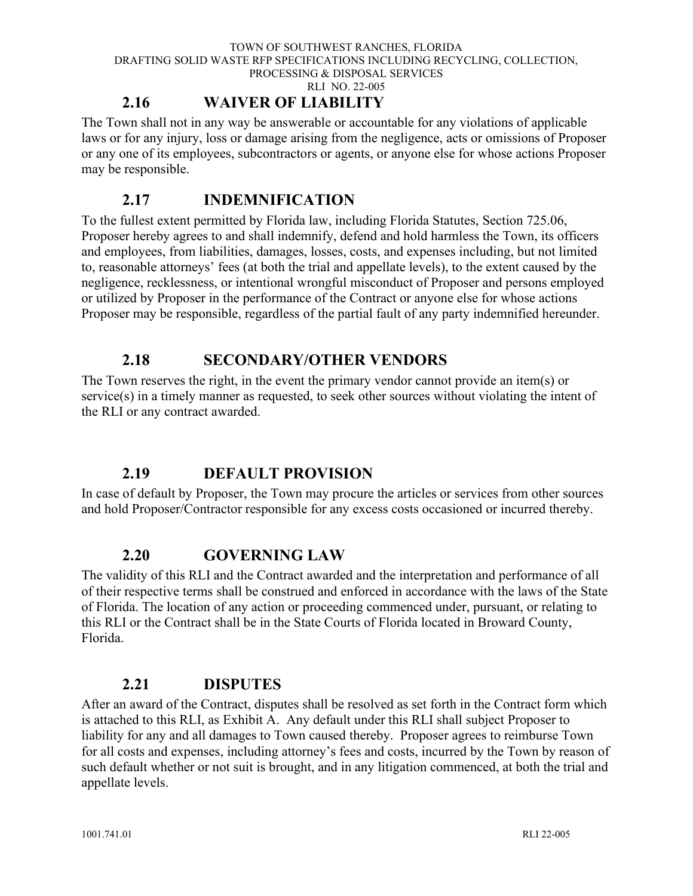RLI NO. 22-005

### **2.16 WAIVER OF LIABILITY**

<span id="page-13-0"></span>The Town shall not in any way be answerable or accountable for any violations of applicable laws or for any injury, loss or damage arising from the negligence, acts or omissions of Proposer or any one of its employees, subcontractors or agents, or anyone else for whose actions Proposer may be responsible.

### **2.17 INDEMNIFICATION**

<span id="page-13-1"></span>To the fullest extent permitted by Florida law, including Florida Statutes, Section 725.06, Proposer hereby agrees to and shall indemnify, defend and hold harmless the Town, its officers and employees, from liabilities, damages, losses, costs, and expenses including, but not limited to, reasonable attorneys' fees (at both the trial and appellate levels), to the extent caused by the negligence, recklessness, or intentional wrongful misconduct of Proposer and persons employed or utilized by Proposer in the performance of the Contract or anyone else for whose actions Proposer may be responsible, regardless of the partial fault of any party indemnified hereunder.

### **2.18 SECONDARY/OTHER VENDORS**

<span id="page-13-2"></span>The Town reserves the right, in the event the primary vendor cannot provide an item(s) or service(s) in a timely manner as requested, to seek other sources without violating the intent of the RLI or any contract awarded.

### **2.19 DEFAULT PROVISION**

<span id="page-13-3"></span>In case of default by Proposer, the Town may procure the articles or services from other sources and hold Proposer/Contractor responsible for any excess costs occasioned or incurred thereby.

### **2.20 GOVERNING LAW**

<span id="page-13-4"></span>The validity of this RLI and the Contract awarded and the interpretation and performance of all of their respective terms shall be construed and enforced in accordance with the laws of the State of Florida. The location of any action or proceeding commenced under, pursuant, or relating to this RLI or the Contract shall be in the State Courts of Florida located in Broward County, Florida.

### **2.21 DISPUTES**

<span id="page-13-5"></span>After an award of the Contract, disputes shall be resolved as set forth in the Contract form which is attached to this RLI, as Exhibit A. Any default under this RLI shall subject Proposer to liability for any and all damages to Town caused thereby. Proposer agrees to reimburse Town for all costs and expenses, including attorney's fees and costs, incurred by the Town by reason of such default whether or not suit is brought, and in any litigation commenced, at both the trial and appellate levels.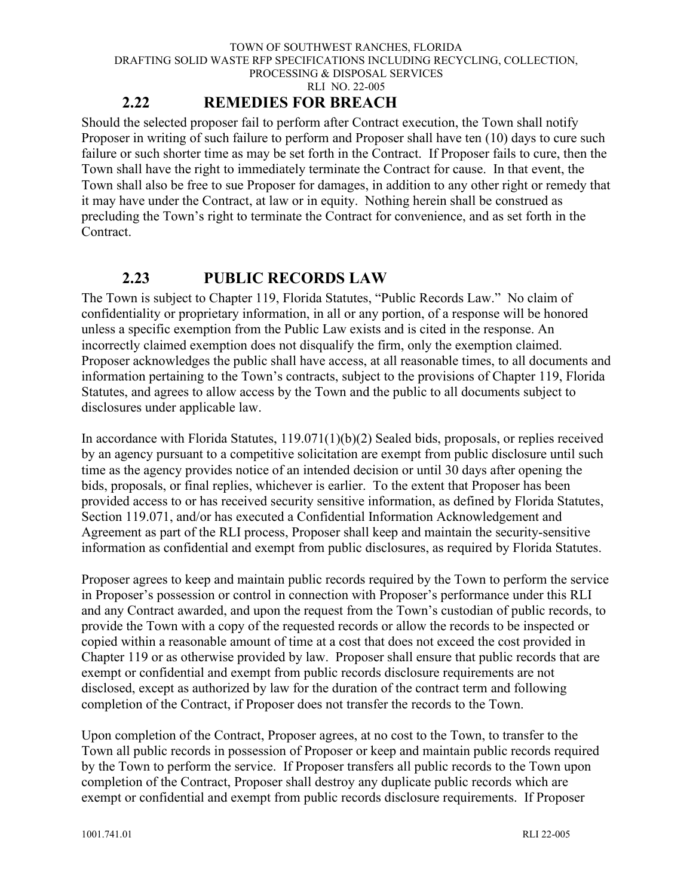### **2.22 REMEDIES FOR BREACH**

<span id="page-14-0"></span>Should the selected proposer fail to perform after Contract execution, the Town shall notify Proposer in writing of such failure to perform and Proposer shall have ten (10) days to cure such failure or such shorter time as may be set forth in the Contract. If Proposer fails to cure, then the Town shall have the right to immediately terminate the Contract for cause. In that event, the Town shall also be free to sue Proposer for damages, in addition to any other right or remedy that it may have under the Contract, at law or in equity. Nothing herein shall be construed as precluding the Town's right to terminate the Contract for convenience, and as set forth in the Contract.

### **2.23 PUBLIC RECORDS LAW**

<span id="page-14-1"></span>The Town is subject to Chapter 119, Florida Statutes, "Public Records Law." No claim of confidentiality or proprietary information, in all or any portion, of a response will be honored unless a specific exemption from the Public Law exists and is cited in the response. An incorrectly claimed exemption does not disqualify the firm, only the exemption claimed. Proposer acknowledges the public shall have access, at all reasonable times, to all documents and information pertaining to the Town's contracts, subject to the provisions of Chapter 119, Florida Statutes, and agrees to allow access by the Town and the public to all documents subject to disclosures under applicable law.

In accordance with Florida Statutes, 119.071(1)(b)(2) Sealed bids, proposals, or replies received by an agency pursuant to a competitive solicitation are exempt from public disclosure until such time as the agency provides notice of an intended decision or until 30 days after opening the bids, proposals, or final replies, whichever is earlier. To the extent that Proposer has been provided access to or has received security sensitive information, as defined by Florida Statutes, Section 119.071, and/or has executed a Confidential Information Acknowledgement and Agreement as part of the RLI process, Proposer shall keep and maintain the security-sensitive information as confidential and exempt from public disclosures, as required by Florida Statutes.

Proposer agrees to keep and maintain public records required by the Town to perform the service in Proposer's possession or control in connection with Proposer's performance under this RLI and any Contract awarded, and upon the request from the Town's custodian of public records, to provide the Town with a copy of the requested records or allow the records to be inspected or copied within a reasonable amount of time at a cost that does not exceed the cost provided in Chapter 119 or as otherwise provided by law. Proposer shall ensure that public records that are exempt or confidential and exempt from public records disclosure requirements are not disclosed, except as authorized by law for the duration of the contract term and following completion of the Contract, if Proposer does not transfer the records to the Town.

Upon completion of the Contract, Proposer agrees, at no cost to the Town, to transfer to the Town all public records in possession of Proposer or keep and maintain public records required by the Town to perform the service. If Proposer transfers all public records to the Town upon completion of the Contract, Proposer shall destroy any duplicate public records which are exempt or confidential and exempt from public records disclosure requirements. If Proposer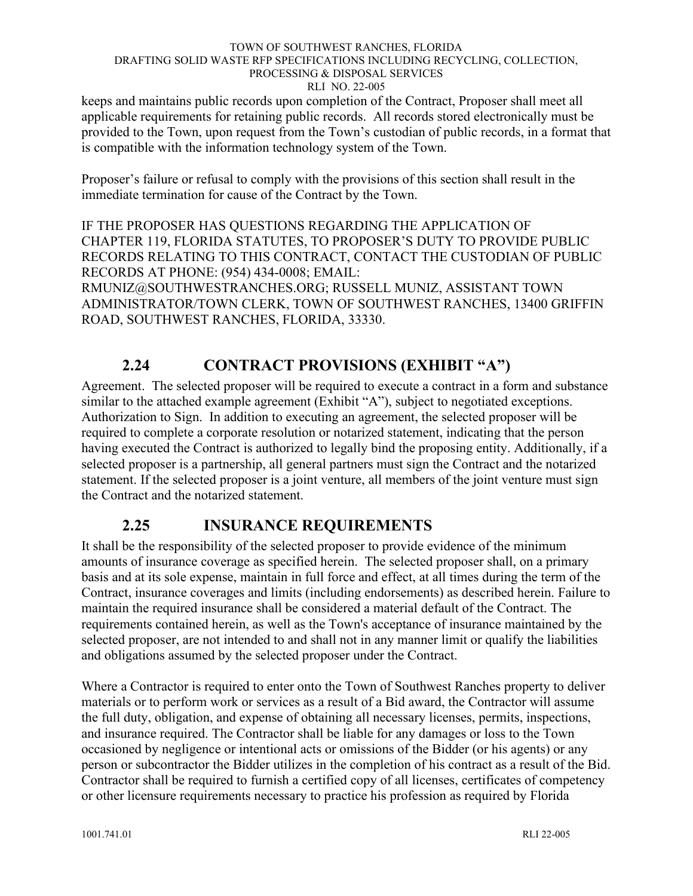keeps and maintains public records upon completion of the Contract, Proposer shall meet all applicable requirements for retaining public records. All records stored electronically must be provided to the Town, upon request from the Town's custodian of public records, in a format that is compatible with the information technology system of the Town.

Proposer's failure or refusal to comply with the provisions of this section shall result in the immediate termination for cause of the Contract by the Town.

IF THE PROPOSER HAS QUESTIONS REGARDING THE APPLICATION OF CHAPTER 119, FLORIDA STATUTES, TO PROPOSER'S DUTY TO PROVIDE PUBLIC RECORDS RELATING TO THIS CONTRACT, CONTACT THE CUSTODIAN OF PUBLIC RECORDS AT PHONE: (954) 434-0008; EMAIL:

RMUNIZ@SOUTHWESTRANCHES.ORG; RUSSELL MUNIZ, ASSISTANT TOWN ADMINISTRATOR/TOWN CLERK, TOWN OF SOUTHWEST RANCHES, 13400 GRIFFIN ROAD, SOUTHWEST RANCHES, FLORIDA, 33330.

## **2.24 CONTRACT PROVISIONS (EXHIBIT "A")**

<span id="page-15-0"></span>Agreement. The selected proposer will be required to execute a contract in a form and substance similar to the attached example agreement (Exhibit "A"), subject to negotiated exceptions. Authorization to Sign. In addition to executing an agreement, the selected proposer will be required to complete a corporate resolution or notarized statement, indicating that the person having executed the Contract is authorized to legally bind the proposing entity. Additionally, if a selected proposer is a partnership, all general partners must sign the Contract and the notarized statement. If the selected proposer is a joint venture, all members of the joint venture must sign the Contract and the notarized statement.

### **2.25 INSURANCE REQUIREMENTS**

<span id="page-15-1"></span>It shall be the responsibility of the selected proposer to provide evidence of the minimum amounts of insurance coverage as specified herein. The selected proposer shall, on a primary basis and at its sole expense, maintain in full force and effect, at all times during the term of the Contract, insurance coverages and limits (including endorsements) as described herein. Failure to maintain the required insurance shall be considered a material default of the Contract. The requirements contained herein, as well as the Town's acceptance of insurance maintained by the selected proposer, are not intended to and shall not in any manner limit or qualify the liabilities and obligations assumed by the selected proposer under the Contract.

Where a Contractor is required to enter onto the Town of Southwest Ranches property to deliver materials or to perform work or services as a result of a Bid award, the Contractor will assume the full duty, obligation, and expense of obtaining all necessary licenses, permits, inspections, and insurance required. The Contractor shall be liable for any damages or loss to the Town occasioned by negligence or intentional acts or omissions of the Bidder (or his agents) or any person or subcontractor the Bidder utilizes in the completion of his contract as a result of the Bid. Contractor shall be required to furnish a certified copy of all licenses, certificates of competency or other licensure requirements necessary to practice his profession as required by Florida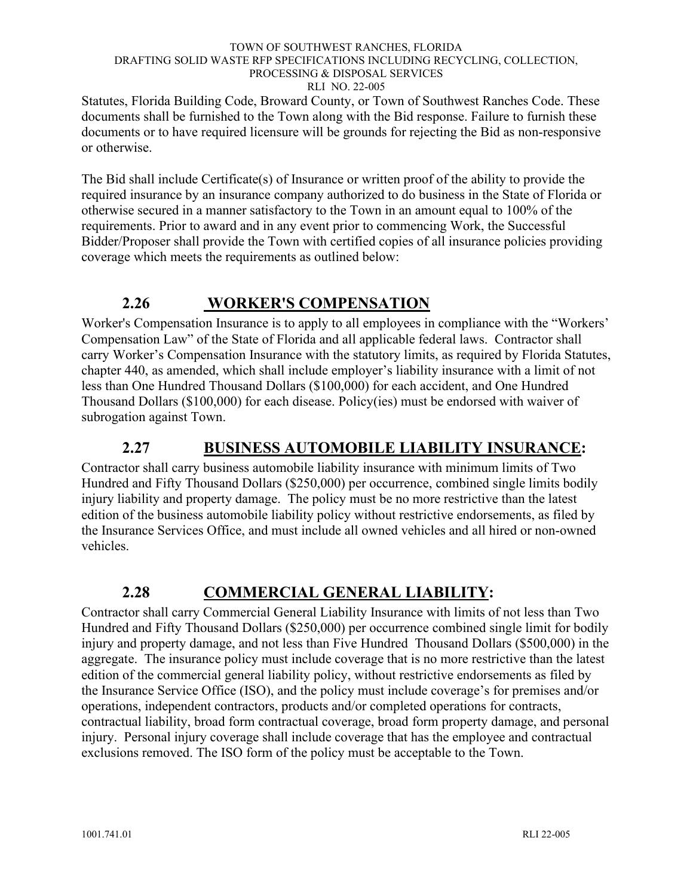Statutes, Florida Building Code, Broward County, or Town of Southwest Ranches Code. These documents shall be furnished to the Town along with the Bid response. Failure to furnish these documents or to have required licensure will be grounds for rejecting the Bid as non-responsive or otherwise.

The Bid shall include Certificate(s) of Insurance or written proof of the ability to provide the required insurance by an insurance company authorized to do business in the State of Florida or otherwise secured in a manner satisfactory to the Town in an amount equal to 100% of the requirements. Prior to award and in any event prior to commencing Work, the Successful Bidder/Proposer shall provide the Town with certified copies of all insurance policies providing coverage which meets the requirements as outlined below:

### **2.26 WORKER'S COMPENSATION**

<span id="page-16-0"></span>Worker's Compensation Insurance is to apply to all employees in compliance with the "Workers' Compensation Law" of the State of Florida and all applicable federal laws. Contractor shall carry Worker's Compensation Insurance with the statutory limits, as required by Florida Statutes, chapter 440, as amended, which shall include employer's liability insurance with a limit of not less than One Hundred Thousand Dollars (\$100,000) for each accident, and One Hundred Thousand Dollars (\$100,000) for each disease. Policy(ies) must be endorsed with waiver of subrogation against Town.

### **2.27 BUSINESS AUTOMOBILE LIABILITY INSURANCE:**

<span id="page-16-1"></span>Contractor shall carry business automobile liability insurance with minimum limits of Two Hundred and Fifty Thousand Dollars (\$250,000) per occurrence, combined single limits bodily injury liability and property damage. The policy must be no more restrictive than the latest edition of the business automobile liability policy without restrictive endorsements, as filed by the Insurance Services Office, and must include all owned vehicles and all hired or non-owned vehicles.

### **2.28 COMMERCIAL GENERAL LIABILITY:**

<span id="page-16-2"></span>Contractor shall carry Commercial General Liability Insurance with limits of not less than Two Hundred and Fifty Thousand Dollars (\$250,000) per occurrence combined single limit for bodily injury and property damage, and not less than Five Hundred Thousand Dollars (\$500,000) in the aggregate. The insurance policy must include coverage that is no more restrictive than the latest edition of the commercial general liability policy, without restrictive endorsements as filed by the Insurance Service Office (ISO), and the policy must include coverage's for premises and/or operations, independent contractors, products and/or completed operations for contracts, contractual liability, broad form contractual coverage, broad form property damage, and personal injury. Personal injury coverage shall include coverage that has the employee and contractual exclusions removed. The ISO form of the policy must be acceptable to the Town.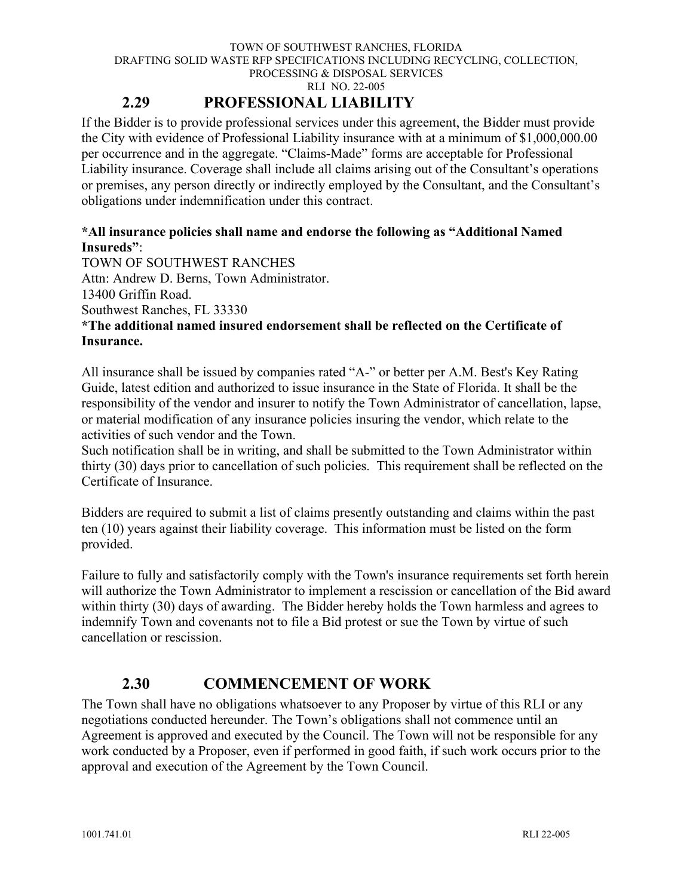RLI NO. 22-005

### **2.29 PROFESSIONAL LIABILITY**

<span id="page-17-0"></span>If the Bidder is to provide professional services under this agreement, the Bidder must provide the City with evidence of Professional Liability insurance with at a minimum of \$1,000,000.00 per occurrence and in the aggregate. "Claims-Made" forms are acceptable for Professional Liability insurance. Coverage shall include all claims arising out of the Consultant's operations or premises, any person directly or indirectly employed by the Consultant, and the Consultant's obligations under indemnification under this contract.

### **\*All insurance policies shall name and endorse the following as "Additional Named Insureds"**:

TOWN OF SOUTHWEST RANCHES

Attn: Andrew D. Berns, Town Administrator.

13400 Griffin Road.

Southwest Ranches, FL 33330

### **\*The additional named insured endorsement shall be reflected on the Certificate of Insurance.**

All insurance shall be issued by companies rated "A-" or better per A.M. Best's Key Rating Guide, latest edition and authorized to issue insurance in the State of Florida. It shall be the responsibility of the vendor and insurer to notify the Town Administrator of cancellation, lapse, or material modification of any insurance policies insuring the vendor, which relate to the activities of such vendor and the Town.

Such notification shall be in writing, and shall be submitted to the Town Administrator within thirty (30) days prior to cancellation of such policies. This requirement shall be reflected on the Certificate of Insurance.

Bidders are required to submit a list of claims presently outstanding and claims within the past ten (10) years against their liability coverage. This information must be listed on the form provided.

Failure to fully and satisfactorily comply with the Town's insurance requirements set forth herein will authorize the Town Administrator to implement a rescission or cancellation of the Bid award within thirty (30) days of awarding. The Bidder hereby holds the Town harmless and agrees to indemnify Town and covenants not to file a Bid protest or sue the Town by virtue of such cancellation or rescission.

### **2.30 COMMENCEMENT OF WORK**

<span id="page-17-1"></span>The Town shall have no obligations whatsoever to any Proposer by virtue of this RLI or any negotiations conducted hereunder. The Town's obligations shall not commence until an Agreement is approved and executed by the Council. The Town will not be responsible for any work conducted by a Proposer, even if performed in good faith, if such work occurs prior to the approval and execution of the Agreement by the Town Council.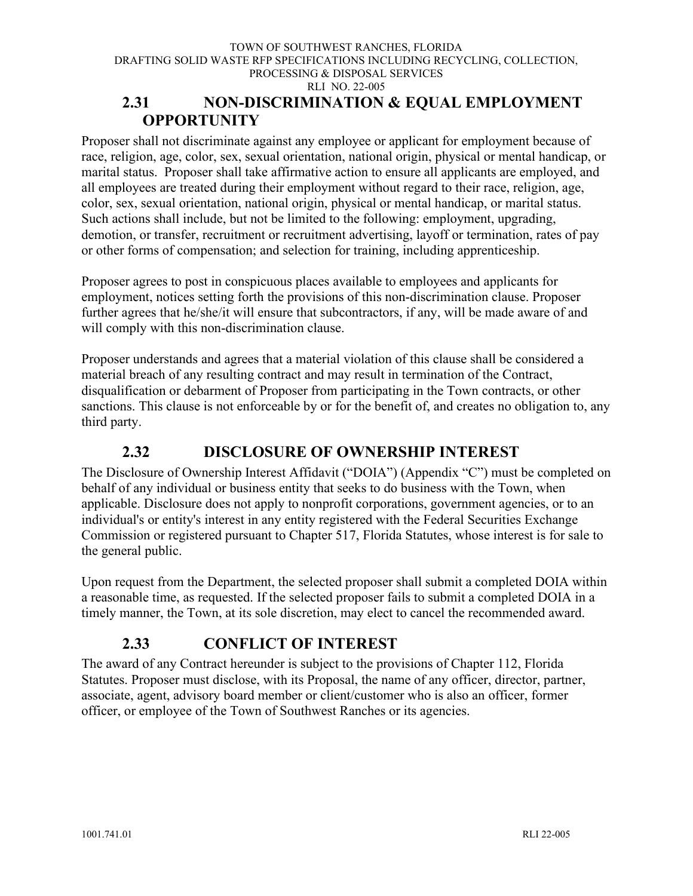### <span id="page-18-0"></span>**2.31 NON-DISCRIMINATION & EQUAL EMPLOYMENT OPPORTUNITY**

Proposer shall not discriminate against any employee or applicant for employment because of race, religion, age, color, sex, sexual orientation, national origin, physical or mental handicap, or marital status. Proposer shall take affirmative action to ensure all applicants are employed, and all employees are treated during their employment without regard to their race, religion, age, color, sex, sexual orientation, national origin, physical or mental handicap, or marital status. Such actions shall include, but not be limited to the following: employment, upgrading, demotion, or transfer, recruitment or recruitment advertising, layoff or termination, rates of pay or other forms of compensation; and selection for training, including apprenticeship.

Proposer agrees to post in conspicuous places available to employees and applicants for employment, notices setting forth the provisions of this non-discrimination clause. Proposer further agrees that he/she/it will ensure that subcontractors, if any, will be made aware of and will comply with this non-discrimination clause.

Proposer understands and agrees that a material violation of this clause shall be considered a material breach of any resulting contract and may result in termination of the Contract, disqualification or debarment of Proposer from participating in the Town contracts, or other sanctions. This clause is not enforceable by or for the benefit of, and creates no obligation to, any third party.

### **2.32 DISCLOSURE OF OWNERSHIP INTEREST**

<span id="page-18-1"></span>The Disclosure of Ownership Interest Affidavit ("DOIA") (Appendix "C") must be completed on behalf of any individual or business entity that seeks to do business with the Town, when applicable. Disclosure does not apply to nonprofit corporations, government agencies, or to an individual's or entity's interest in any entity registered with the Federal Securities Exchange Commission or registered pursuant to Chapter 517, Florida Statutes, whose interest is for sale to the general public.

Upon request from the Department, the selected proposer shall submit a completed DOIA within a reasonable time, as requested. If the selected proposer fails to submit a completed DOIA in a timely manner, the Town, at its sole discretion, may elect to cancel the recommended award.

### **2.33 CONFLICT OF INTEREST**

<span id="page-18-2"></span>The award of any Contract hereunder is subject to the provisions of Chapter 112, Florida Statutes. Proposer must disclose, with its Proposal, the name of any officer, director, partner, associate, agent, advisory board member or client/customer who is also an officer, former officer, or employee of the Town of Southwest Ranches or its agencies.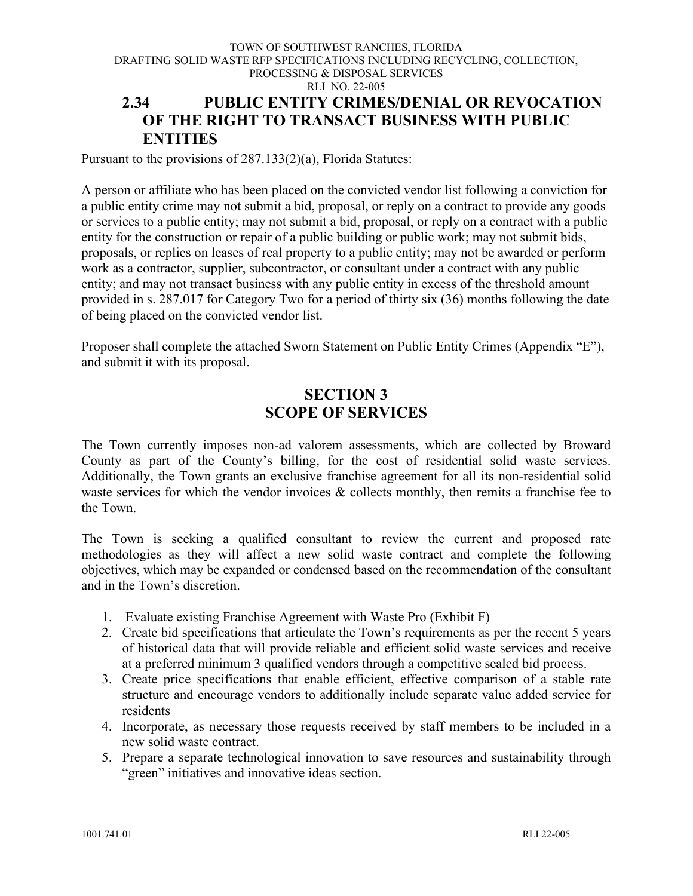#### TOWN OF SOUTHWEST RANCHES, FLORIDA DRAFTING SOLID WASTE RFP SPECIFICATIONS INCLUDING RECYCLING, COLLECTION, PROCESSING & DISPOSAL SERVICES RLI NO. 22-005 **2.34 PUBLIC ENTITY CRIMES/DENIAL OR REVOCATION OF THE RIGHT TO TRANSACT BUSINESS WITH PUBLIC ENTITIES**

<span id="page-19-0"></span>Pursuant to the provisions of 287.133(2)(a), Florida Statutes:

A person or affiliate who has been placed on the convicted vendor list following a conviction for a public entity crime may not submit a bid, proposal, or reply on a contract to provide any goods or services to a public entity; may not submit a bid, proposal, or reply on a contract with a public entity for the construction or repair of a public building or public work; may not submit bids, proposals, or replies on leases of real property to a public entity; may not be awarded or perform work as a contractor, supplier, subcontractor, or consultant under a contract with any public entity; and may not transact business with any public entity in excess of the threshold amount provided in s. 287.017 for Category Two for a period of thirty six (36) months following the date of being placed on the convicted vendor list.

<span id="page-19-1"></span>Proposer shall complete the attached Sworn Statement on Public Entity Crimes (Appendix "E"), and submit it with its proposal.

### **SECTION 3 SCOPE OF SERVICES**

<span id="page-19-2"></span>The Town currently imposes non-ad valorem assessments, which are collected by Broward County as part of the County's billing, for the cost of residential solid waste services. Additionally, the Town grants an exclusive franchise agreement for all its non-residential solid waste services for which the vendor invoices  $\&$  collects monthly, then remits a franchise fee to the Town.

The Town is seeking a qualified consultant to review the current and proposed rate methodologies as they will affect a new solid waste contract and complete the following objectives, which may be expanded or condensed based on the recommendation of the consultant and in the Town's discretion.

- 1. Evaluate existing Franchise Agreement with Waste Pro (Exhibit F)
- 2. Create bid specifications that articulate the Town's requirements as per the recent 5 years of historical data that will provide reliable and efficient solid waste services and receive at a preferred minimum 3 qualified vendors through a competitive sealed bid process.
- 3. Create price specifications that enable efficient, effective comparison of a stable rate structure and encourage vendors to additionally include separate value added service for residents
- 4. Incorporate, as necessary those requests received by staff members to be included in a new solid waste contract.
- 5. Prepare a separate technological innovation to save resources and sustainability through "green" initiatives and innovative ideas section.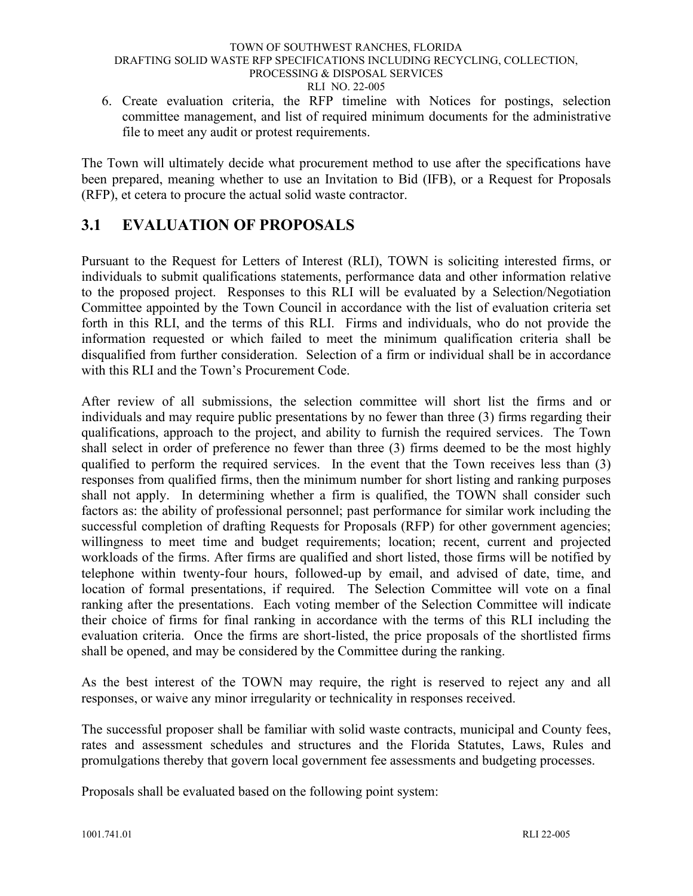6. Create evaluation criteria, the RFP timeline with Notices for postings, selection committee management, and list of required minimum documents for the administrative file to meet any audit or protest requirements.

The Town will ultimately decide what procurement method to use after the specifications have been prepared, meaning whether to use an Invitation to Bid (IFB), or a Request for Proposals (RFP), et cetera to procure the actual solid waste contractor.

### <span id="page-20-0"></span>**3.1 EVALUATION OF PROPOSALS**

Pursuant to the Request for Letters of Interest (RLI), TOWN is soliciting interested firms, or individuals to submit qualifications statements, performance data and other information relative to the proposed project. Responses to this RLI will be evaluated by a Selection/Negotiation Committee appointed by the Town Council in accordance with the list of evaluation criteria set forth in this RLI, and the terms of this RLI. Firms and individuals, who do not provide the information requested or which failed to meet the minimum qualification criteria shall be disqualified from further consideration. Selection of a firm or individual shall be in accordance with this RLI and the Town's Procurement Code.

After review of all submissions, the selection committee will short list the firms and or individuals and may require public presentations by no fewer than three (3) firms regarding their qualifications, approach to the project, and ability to furnish the required services. The Town shall select in order of preference no fewer than three (3) firms deemed to be the most highly qualified to perform the required services. In the event that the Town receives less than (3) responses from qualified firms, then the minimum number for short listing and ranking purposes shall not apply. In determining whether a firm is qualified, the TOWN shall consider such factors as: the ability of professional personnel; past performance for similar work including the successful completion of drafting Requests for Proposals (RFP) for other government agencies; willingness to meet time and budget requirements; location; recent, current and projected workloads of the firms. After firms are qualified and short listed, those firms will be notified by telephone within twenty-four hours, followed-up by email, and advised of date, time, and location of formal presentations, if required. The Selection Committee will vote on a final ranking after the presentations. Each voting member of the Selection Committee will indicate their choice of firms for final ranking in accordance with the terms of this RLI including the evaluation criteria. Once the firms are short-listed, the price proposals of the shortlisted firms shall be opened, and may be considered by the Committee during the ranking.

As the best interest of the TOWN may require, the right is reserved to reject any and all responses, or waive any minor irregularity or technicality in responses received.

The successful proposer shall be familiar with solid waste contracts, municipal and County fees, rates and assessment schedules and structures and the Florida Statutes, Laws, Rules and promulgations thereby that govern local government fee assessments and budgeting processes.

Proposals shall be evaluated based on the following point system: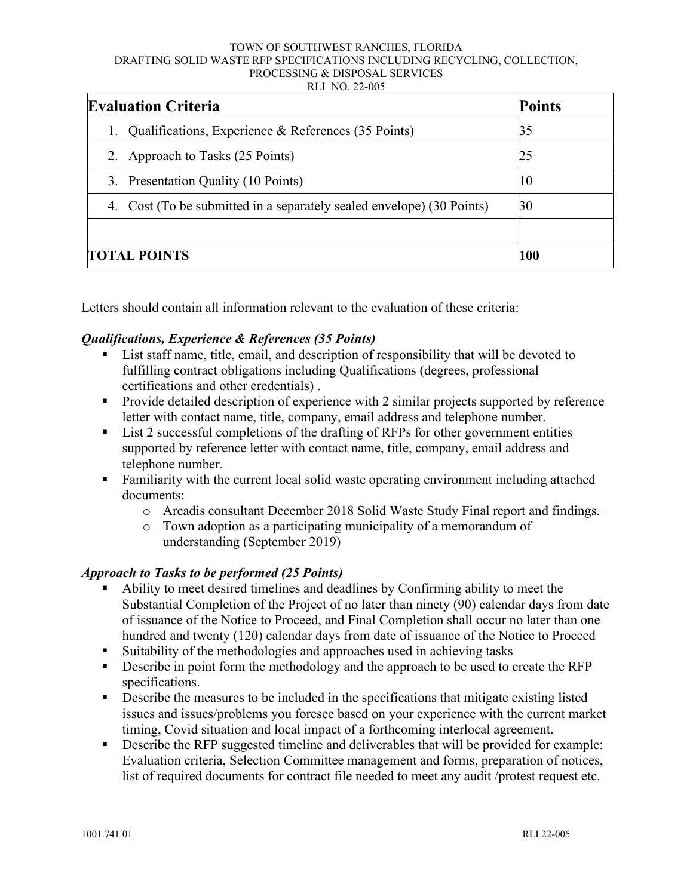| <b>Evaluation Criteria</b>                                            | <b>Points</b> |
|-----------------------------------------------------------------------|---------------|
| Qualifications, Experience & References (35 Points)                   | 35            |
| 2. Approach to Tasks (25 Points)                                      | 25            |
| 3. Presentation Quality (10 Points)                                   | 10            |
| 4. Cost (To be submitted in a separately sealed envelope) (30 Points) | 30            |
|                                                                       |               |
| <b>TOTAL POINTS</b>                                                   | 100           |

Letters should contain all information relevant to the evaluation of these criteria:

### *Qualifications, Experience & References (35 Points)*

- List staff name, title, email, and description of responsibility that will be devoted to fulfilling contract obligations including Qualifications (degrees, professional certifications and other credentials) .
- Provide detailed description of experience with 2 similar projects supported by reference letter with contact name, title, company, email address and telephone number.
- List 2 successful completions of the drafting of RFPs for other government entities supported by reference letter with contact name, title, company, email address and telephone number.
- **Familiarity with the current local solid waste operating environment including attached** documents:
	- o Arcadis consultant December 2018 Solid Waste Study Final report and findings.
	- o Town adoption as a participating municipality of a memorandum of understanding (September 2019)

### *Approach to Tasks to be performed (25 Points)*

- Ability to meet desired timelines and deadlines by Confirming ability to meet the Substantial Completion of the Project of no later than ninety (90) calendar days from date of issuance of the Notice to Proceed, and Final Completion shall occur no later than one hundred and twenty (120) calendar days from date of issuance of the Notice to Proceed
- Suitability of the methodologies and approaches used in achieving tasks
- Describe in point form the methodology and the approach to be used to create the RFP specifications.
- **Describe the measures to be included in the specifications that mitigate existing listed** issues and issues/problems you foresee based on your experience with the current market timing, Covid situation and local impact of a forthcoming interlocal agreement.
- Describe the RFP suggested timeline and deliverables that will be provided for example: Evaluation criteria, Selection Committee management and forms, preparation of notices, list of required documents for contract file needed to meet any audit /protest request etc.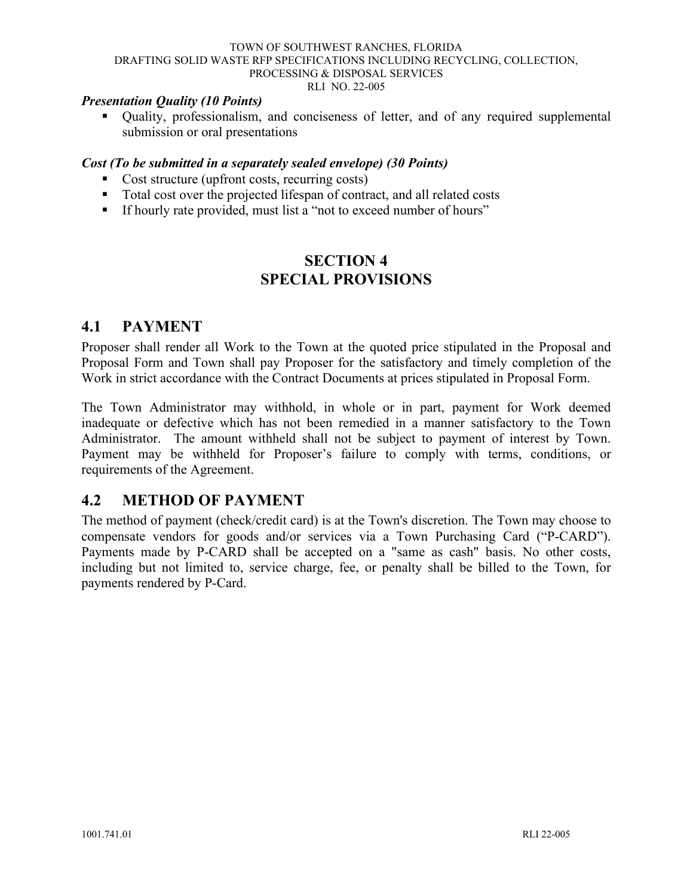#### *Presentation Quality (10 Points)*

 Quality, professionalism, and conciseness of letter, and of any required supplemental submission or oral presentations

#### *Cost (To be submitted in a separately sealed envelope) (30 Points)*

- Cost structure (upfront costs, recurring costs)
- Total cost over the projected lifespan of contract, and all related costs
- <span id="page-22-0"></span>If hourly rate provided, must list a "not to exceed number of hours"

### **SECTION 4 SPECIAL PROVISIONS**

### <span id="page-22-2"></span><span id="page-22-1"></span>**4.1 PAYMENT**

Proposer shall render all Work to the Town at the quoted price stipulated in the Proposal and Proposal Form and Town shall pay Proposer for the satisfactory and timely completion of the Work in strict accordance with the Contract Documents at prices stipulated in Proposal Form.

The Town Administrator may withhold, in whole or in part, payment for Work deemed inadequate or defective which has not been remedied in a manner satisfactory to the Town Administrator. The amount withheld shall not be subject to payment of interest by Town. Payment may be withheld for Proposer's failure to comply with terms, conditions, or requirements of the Agreement.

### <span id="page-22-3"></span>**4.2 METHOD OF PAYMENT**

The method of payment (check/credit card) is at the Town's discretion. The Town may choose to compensate vendors for goods and/or services via a Town Purchasing Card ("P-CARD"). Payments made by P-CARD shall be accepted on a "same as cash" basis. No other costs, including but not limited to, service charge, fee, or penalty shall be billed to the Town, for payments rendered by P-Card.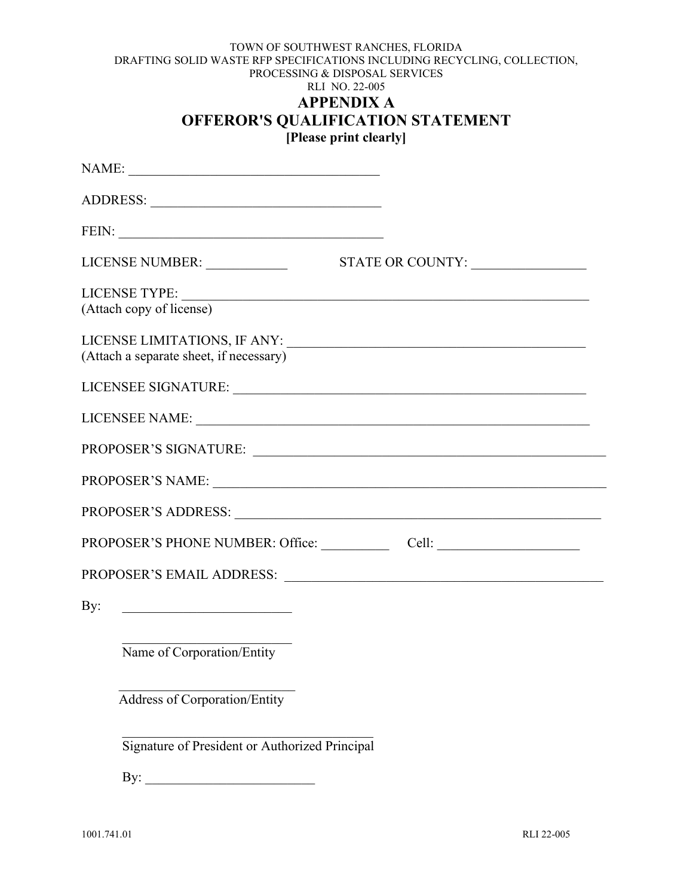#### TOWN OF SOUTHWEST RANCHES, FLORIDA DRAFTING SOLID WASTE RFP SPECIFICATIONS INCLUDING RECYCLING, COLLECTION, PROCESSING & DISPOSAL SERVICES RLI NO. 22-005 **APPENDIX A OFFEROR'S QUALIFICATION STATEMENT**

**[Please print clearly]**

<span id="page-23-0"></span>

| NAME:                                          |  |
|------------------------------------------------|--|
|                                                |  |
|                                                |  |
|                                                |  |
| (Attach copy of license)                       |  |
| (Attach a separate sheet, if necessary)        |  |
|                                                |  |
|                                                |  |
|                                                |  |
|                                                |  |
|                                                |  |
|                                                |  |
|                                                |  |
| By: $\qquad \qquad$                            |  |
| Name of Corporation/Entity                     |  |
| Address of Corporation/Entity                  |  |
| Signature of President or Authorized Principal |  |
| By:                                            |  |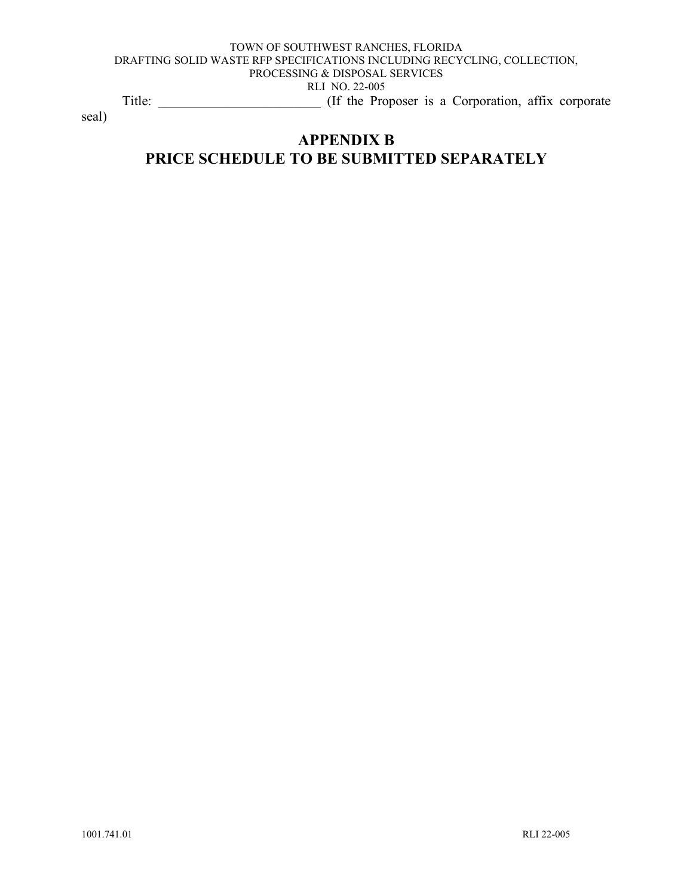#### TOWN OF SOUTHWEST RANCHES, FLORIDA DRAFTING SOLID WASTE RFP SPECIFICATIONS INCLUDING RECYCLING, COLLECTION, PROCESSING & DISPOSAL SERVICES RLI NO. 22-005 Title: \_\_\_\_\_\_\_\_\_\_\_\_\_\_\_\_\_\_\_\_\_\_\_\_ (If the Proposer is a Corporation, affix corporate

<span id="page-24-0"></span>seal)

### **APPENDIX B PRICE SCHEDULE TO BE SUBMITTED SEPARATELY**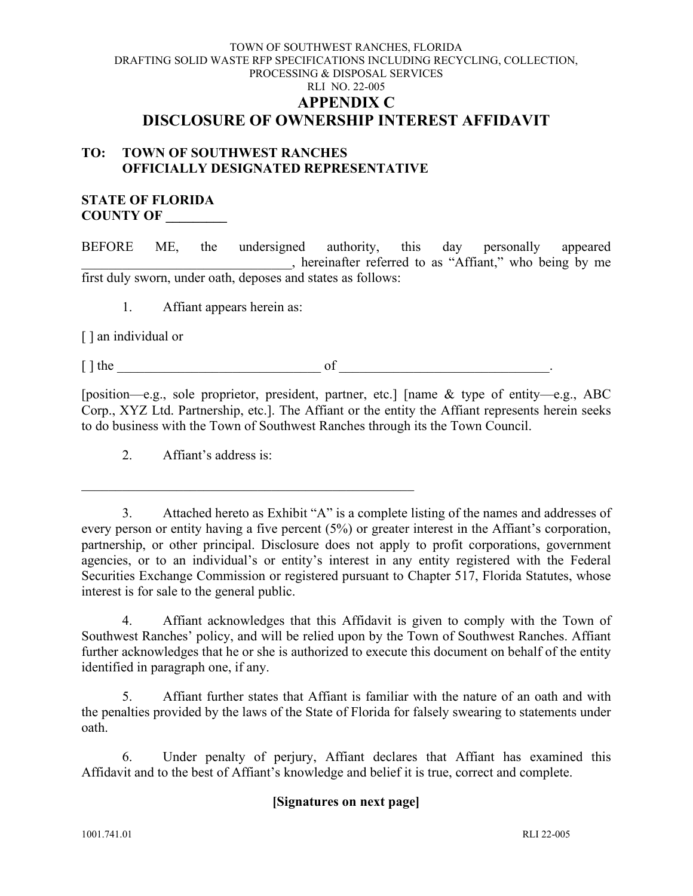#### TOWN OF SOUTHWEST RANCHES, FLORIDA DRAFTING SOLID WASTE RFP SPECIFICATIONS INCLUDING RECYCLING, COLLECTION, PROCESSING & DISPOSAL SERVICES RLI NO. 22-005 **APPENDIX C DISCLOSURE OF OWNERSHIP INTEREST AFFIDAVIT**

#### <span id="page-25-0"></span>**TO: TOWN OF SOUTHWEST RANCHES OFFICIALLY DESIGNATED REPRESENTATIVE**

#### **STATE OF FLORIDA COUNTY OF \_\_\_\_\_\_\_\_\_**

BEFORE ME, the undersigned authority, this day personally appeared \_\_\_\_\_\_\_\_\_\_\_\_\_\_\_\_\_\_\_\_\_\_\_\_\_\_\_\_\_\_\_, hereinafter referred to as "Affiant," who being by me first duly sworn, under oath, deposes and states as follows:

1. Affiant appears herein as:

[ ] an individual or

 $\lceil \cdot \rceil$  the contract of  $\lceil \cdot \rceil$ 

[position—e.g., sole proprietor, president, partner, etc.] [name & type of entity—e.g., ABC Corp., XYZ Ltd. Partnership, etc.]. The Affiant or the entity the Affiant represents herein seeks to do business with the Town of Southwest Ranches through its the Town Council.

2. Affiant's address is:

3. Attached hereto as Exhibit "A" is a complete listing of the names and addresses of every person or entity having a five percent (5%) or greater interest in the Affiant's corporation, partnership, or other principal. Disclosure does not apply to profit corporations, government agencies, or to an individual's or entity's interest in any entity registered with the Federal Securities Exchange Commission or registered pursuant to Chapter 517, Florida Statutes, whose interest is for sale to the general public.

4. Affiant acknowledges that this Affidavit is given to comply with the Town of Southwest Ranches' policy, and will be relied upon by the Town of Southwest Ranches. Affiant further acknowledges that he or she is authorized to execute this document on behalf of the entity identified in paragraph one, if any.

5. Affiant further states that Affiant is familiar with the nature of an oath and with the penalties provided by the laws of the State of Florida for falsely swearing to statements under oath.

6. Under penalty of perjury, Affiant declares that Affiant has examined this Affidavit and to the best of Affiant's knowledge and belief it is true, correct and complete.

### **[Signatures on next page]**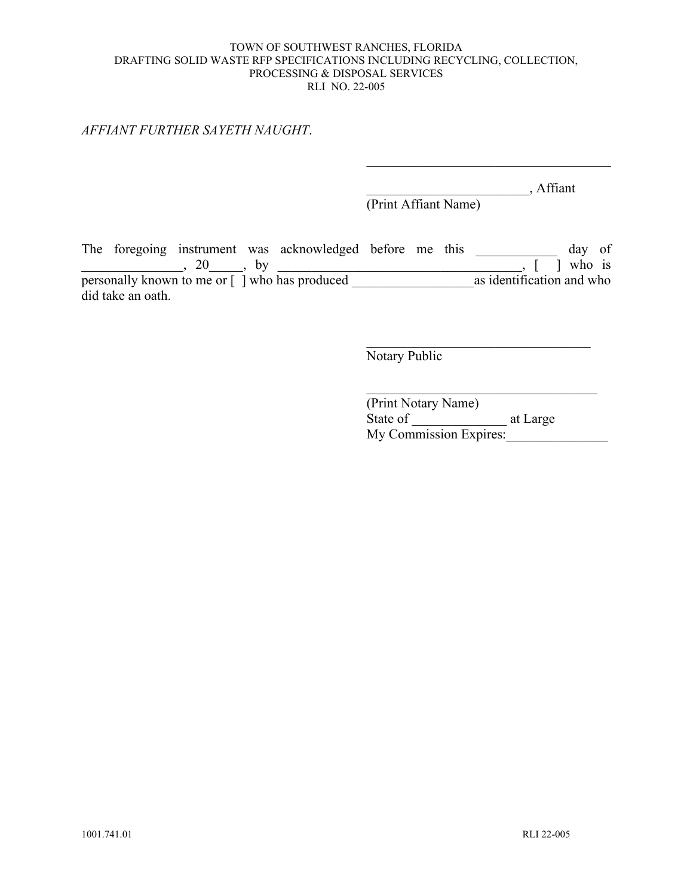#### *AFFIANT FURTHER SAYETH NAUGHT*.

 $\overline{\phantom{a}}$ , Affiant

 $\mathcal{L}_\mathcal{L}$ 

(Print Affiant Name)

The foregoing instrument was acknowledged before me this \_\_\_\_\_\_\_\_\_\_\_\_ day of  $\frac{1}{20}$ , 20  $\frac{1}{20}$ , by  $\frac{1}{20}$  ,  $\frac{1}{20}$  who is personally known to me or [ ] who has produced \_\_\_\_\_\_\_\_\_\_\_\_\_\_\_\_\_\_as identification and who did take an oath.

Notary Public

(Print Notary Name) State of \_\_\_\_\_\_\_\_\_\_\_\_\_\_ at Large My Commission Expires: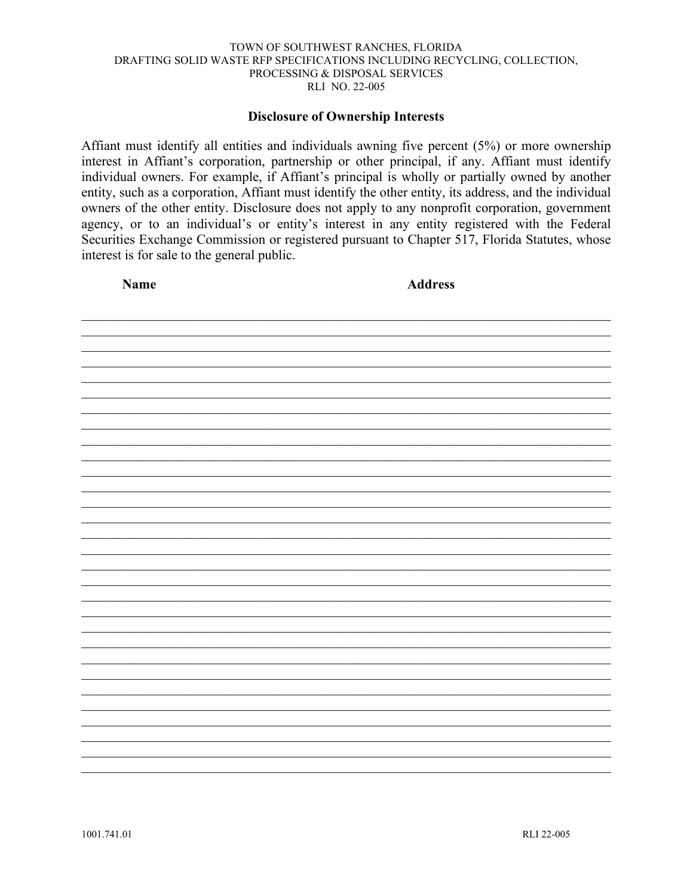#### **Disclosure of Ownership Interests**

Affiant must identify all entities and individuals awning five percent  $(5%)$  or more ownership interest in Affiant's corporation, partnership or other principal, if any. Affiant must identify individual owners. For example, if Affiant's principal is wholly or partially owned by another entity, such as a corporation, Affiant must identify the other entity, its address, and the individual owners of the other entity. Disclosure does not apply to any nonprofit corporation, government agency, or to an individual's or entity's interest in any entity registered with the Federal Securities Exchange Commission or registered pursuant to Chapter 517, Florida Statutes, whose interest is for sale to the general public.

**Name** 

**Address** 

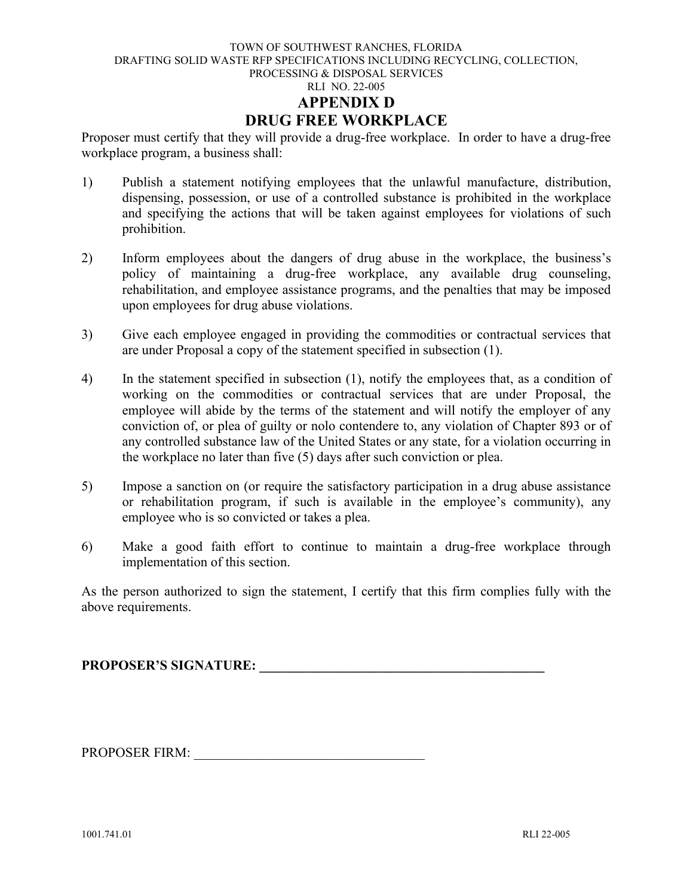<span id="page-28-0"></span>Proposer must certify that they will provide a drug-free workplace. In order to have a drug-free workplace program, a business shall:

- 1) Publish a statement notifying employees that the unlawful manufacture, distribution, dispensing, possession, or use of a controlled substance is prohibited in the workplace and specifying the actions that will be taken against employees for violations of such prohibition.
- 2) Inform employees about the dangers of drug abuse in the workplace, the business's policy of maintaining a drug-free workplace, any available drug counseling, rehabilitation, and employee assistance programs, and the penalties that may be imposed upon employees for drug abuse violations.
- 3) Give each employee engaged in providing the commodities or contractual services that are under Proposal a copy of the statement specified in subsection (1).
- 4) In the statement specified in subsection (1), notify the employees that, as a condition of working on the commodities or contractual services that are under Proposal, the employee will abide by the terms of the statement and will notify the employer of any conviction of, or plea of guilty or nolo contendere to, any violation of Chapter 893 or of any controlled substance law of the United States or any state, for a violation occurring in the workplace no later than five (5) days after such conviction or plea.
- 5) Impose a sanction on (or require the satisfactory participation in a drug abuse assistance or rehabilitation program, if such is available in the employee's community), any employee who is so convicted or takes a plea.
- 6) Make a good faith effort to continue to maintain a drug-free workplace through implementation of this section.

As the person authorized to sign the statement, I certify that this firm complies fully with the above requirements.

PROPOSER'S SIGNATURE:

PROPOSER FIRM: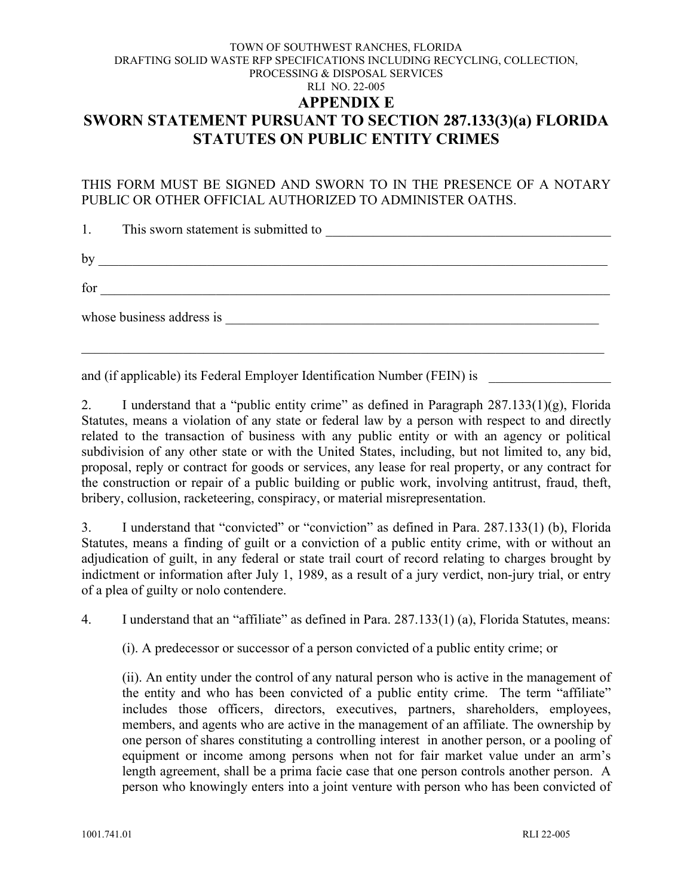#### <span id="page-29-0"></span>TOWN OF SOUTHWEST RANCHES, FLORIDA DRAFTING SOLID WASTE RFP SPECIFICATIONS INCLUDING RECYCLING, COLLECTION, PROCESSING & DISPOSAL SERVICES RLI NO. 22-005 **APPENDIX E SWORN STATEMENT PURSUANT TO SECTION 287.133(3)(a) FLORIDA STATUTES ON PUBLIC ENTITY CRIMES**

#### THIS FORM MUST BE SIGNED AND SWORN TO IN THE PRESENCE OF A NOTARY PUBLIC OR OTHER OFFICIAL AUTHORIZED TO ADMINISTER OATHS.

|    | 1. This sworn statement is submitted to<br><u> 1980 - Jan James James Barbara, martin da kasar Amerikaan Indonesia.</u> |
|----|-------------------------------------------------------------------------------------------------------------------------|
| by | <u> 1986 - Johann Barbara, margaret eta biztanleria (h. 1988).</u>                                                      |
|    |                                                                                                                         |
|    | whose business address is                                                                                               |
|    |                                                                                                                         |

and (if applicable) its Federal Employer Identification Number (FEIN) is

2. I understand that a "public entity crime" as defined in Paragraph 287.133(1)(g), Florida Statutes, means a violation of any state or federal law by a person with respect to and directly related to the transaction of business with any public entity or with an agency or political subdivision of any other state or with the United States, including, but not limited to, any bid, proposal, reply or contract for goods or services, any lease for real property, or any contract for the construction or repair of a public building or public work, involving antitrust, fraud, theft, bribery, collusion, racketeering, conspiracy, or material misrepresentation.

3. I understand that "convicted" or "conviction" as defined in Para. 287.133(1) (b), Florida Statutes, means a finding of guilt or a conviction of a public entity crime, with or without an adjudication of guilt, in any federal or state trail court of record relating to charges brought by indictment or information after July 1, 1989, as a result of a jury verdict, non-jury trial, or entry of a plea of guilty or nolo contendere.

4. I understand that an "affiliate" as defined in Para. 287.133(1) (a), Florida Statutes, means:

(i). A predecessor or successor of a person convicted of a public entity crime; or

(ii). An entity under the control of any natural person who is active in the management of the entity and who has been convicted of a public entity crime. The term "affiliate" includes those officers, directors, executives, partners, shareholders, employees, members, and agents who are active in the management of an affiliate. The ownership by one person of shares constituting a controlling interest in another person, or a pooling of equipment or income among persons when not for fair market value under an arm's length agreement, shall be a prima facie case that one person controls another person. A person who knowingly enters into a joint venture with person who has been convicted of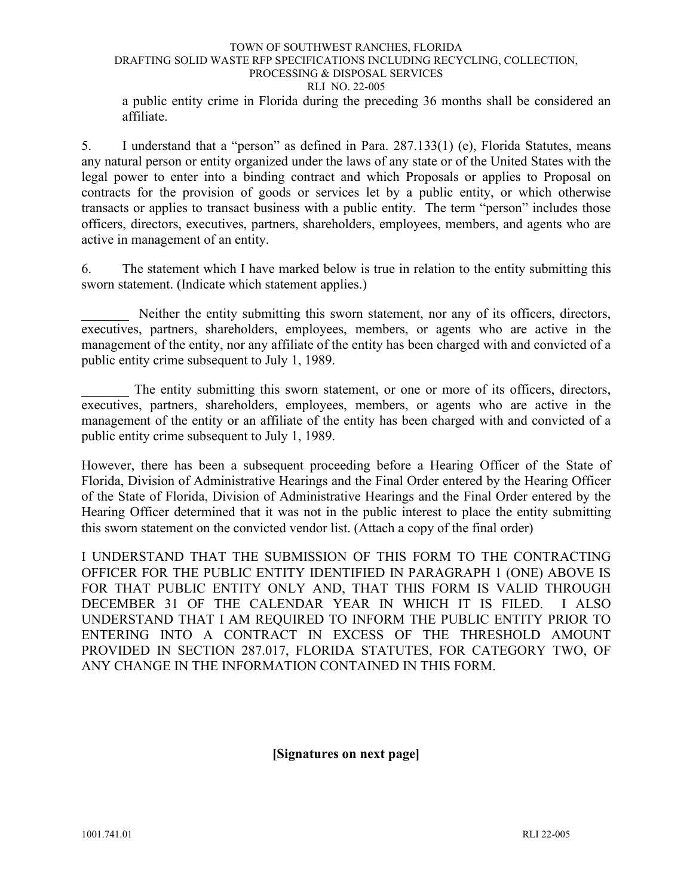#### TOWN OF SOUTHWEST RANCHES, FLORIDA DRAFTING SOLID WASTE RFP SPECIFICATIONS INCLUDING RECYCLING, COLLECTION, PROCESSING & DISPOSAL SERVICES RLI NO. 22-005 a public entity crime in Florida during the preceding 36 months shall be considered an

affiliate.

5. I understand that a "person" as defined in Para. 287.133(1) (e), Florida Statutes, means any natural person or entity organized under the laws of any state or of the United States with the legal power to enter into a binding contract and which Proposals or applies to Proposal on contracts for the provision of goods or services let by a public entity, or which otherwise transacts or applies to transact business with a public entity. The term "person" includes those officers, directors, executives, partners, shareholders, employees, members, and agents who are active in management of an entity.

6. The statement which I have marked below is true in relation to the entity submitting this sworn statement. (Indicate which statement applies.)

Neither the entity submitting this sworn statement, nor any of its officers, directors, executives, partners, shareholders, employees, members, or agents who are active in the management of the entity, nor any affiliate of the entity has been charged with and convicted of a public entity crime subsequent to July 1, 1989.

The entity submitting this sworn statement, or one or more of its officers, directors, executives, partners, shareholders, employees, members, or agents who are active in the management of the entity or an affiliate of the entity has been charged with and convicted of a public entity crime subsequent to July 1, 1989.

However, there has been a subsequent proceeding before a Hearing Officer of the State of Florida, Division of Administrative Hearings and the Final Order entered by the Hearing Officer of the State of Florida, Division of Administrative Hearings and the Final Order entered by the Hearing Officer determined that it was not in the public interest to place the entity submitting this sworn statement on the convicted vendor list. (Attach a copy of the final order)

I UNDERSTAND THAT THE SUBMISSION OF THIS FORM TO THE CONTRACTING OFFICER FOR THE PUBLIC ENTITY IDENTIFIED IN PARAGRAPH 1 (ONE) ABOVE IS FOR THAT PUBLIC ENTITY ONLY AND, THAT THIS FORM IS VALID THROUGH DECEMBER 31 OF THE CALENDAR YEAR IN WHICH IT IS FILED. I ALSO UNDERSTAND THAT I AM REQUIRED TO INFORM THE PUBLIC ENTITY PRIOR TO ENTERING INTO A CONTRACT IN EXCESS OF THE THRESHOLD AMOUNT PROVIDED IN SECTION 287.017, FLORIDA STATUTES, FOR CATEGORY TWO, OF ANY CHANGE IN THE INFORMATION CONTAINED IN THIS FORM.

#### **[Signatures on next page]**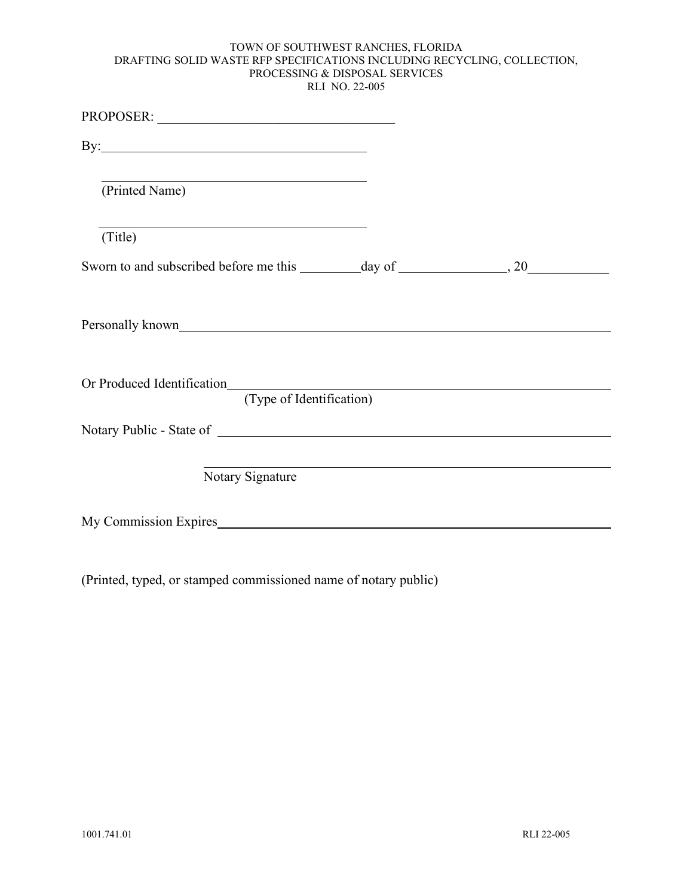| By: $\qquad \qquad$                                                    |  |
|------------------------------------------------------------------------|--|
| (Printed Name)                                                         |  |
| <u> 1989 - Johann Stoff, amerikansk politiker (d. 1989)</u><br>(Title) |  |
|                                                                        |  |
|                                                                        |  |
| (Type of Identification)                                               |  |
| Notary Public - State of                                               |  |
| Notary Signature                                                       |  |
| My Commission Expires                                                  |  |

(Printed, typed, or stamped commissioned name of notary public)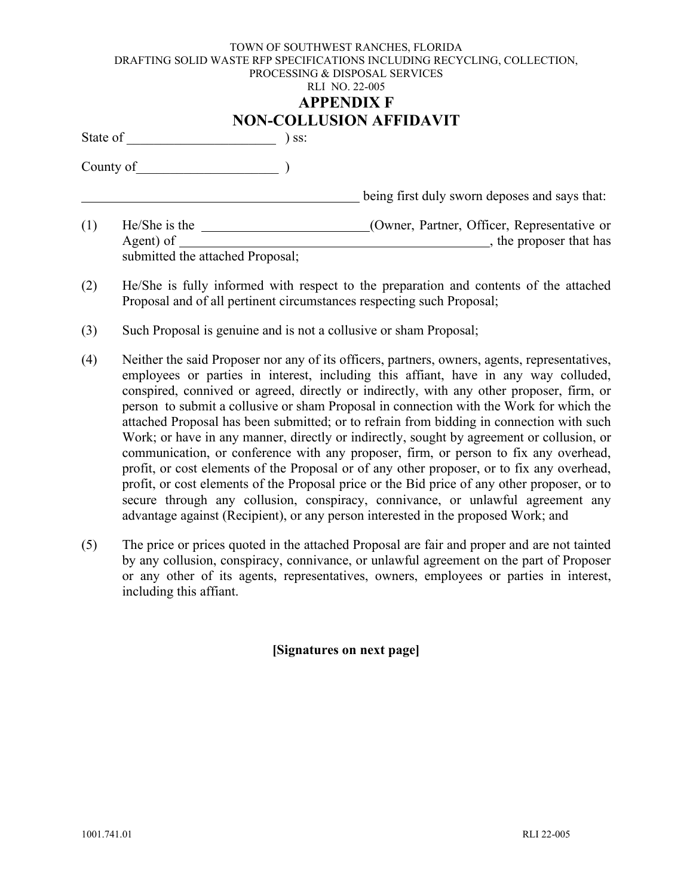# **NON-COLLUSION AFFIDAVIT**

<span id="page-32-0"></span>State of \_\_\_\_\_\_\_\_\_\_\_\_\_\_\_\_\_\_\_\_\_\_ ) ss:

County of  $\begin{array}{|c|c|c|c|c|}\hline \rule{0pt}{1ex}\rule{0pt}{1ex}\rule{0pt}{1ex}\quad \quad & \quad \quad & \quad \\\hline \end{array}$ 

**EXECUTE:** being first duly sworn deposes and says that:

- (1) He/She is the (Owner, Partner, Officer, Representative or Agent) of  $\qquad \qquad$ , the proposer that has submitted the attached Proposal;
- (2) He/She is fully informed with respect to the preparation and contents of the attached Proposal and of all pertinent circumstances respecting such Proposal;
- (3) Such Proposal is genuine and is not a collusive or sham Proposal;
- (4) Neither the said Proposer nor any of its officers, partners, owners, agents, representatives, employees or parties in interest, including this affiant, have in any way colluded, conspired, connived or agreed, directly or indirectly, with any other proposer, firm, or person to submit a collusive or sham Proposal in connection with the Work for which the attached Proposal has been submitted; or to refrain from bidding in connection with such Work; or have in any manner, directly or indirectly, sought by agreement or collusion, or communication, or conference with any proposer, firm, or person to fix any overhead, profit, or cost elements of the Proposal or of any other proposer, or to fix any overhead, profit, or cost elements of the Proposal price or the Bid price of any other proposer, or to secure through any collusion, conspiracy, connivance, or unlawful agreement any advantage against (Recipient), or any person interested in the proposed Work; and
- (5) The price or prices quoted in the attached Proposal are fair and proper and are not tainted by any collusion, conspiracy, connivance, or unlawful agreement on the part of Proposer or any other of its agents, representatives, owners, employees or parties in interest, including this affiant.

#### **[Signatures on next page]**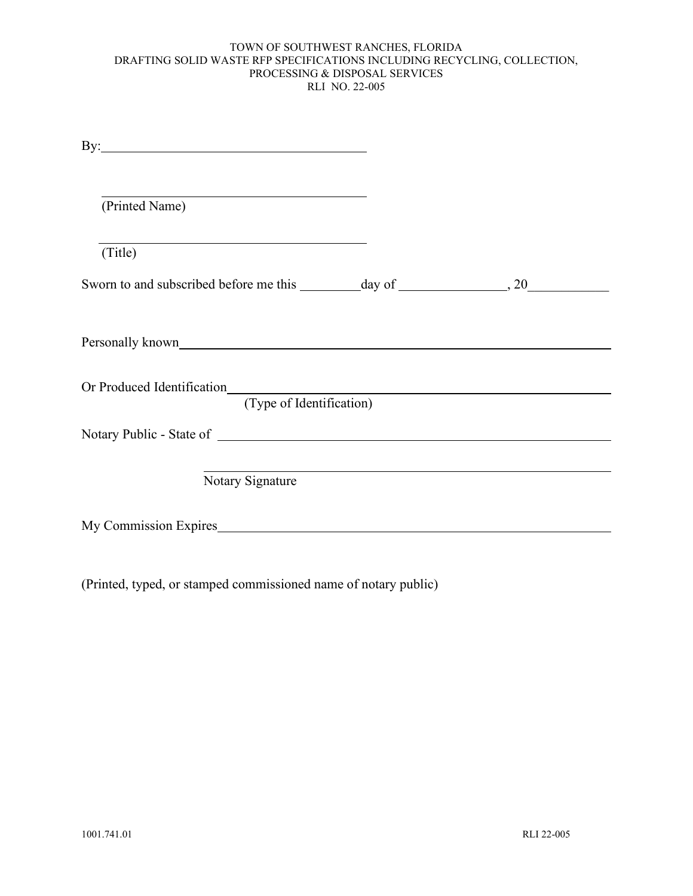| (Printed Name)                                         |  |
|--------------------------------------------------------|--|
| (Title)                                                |  |
|                                                        |  |
|                                                        |  |
| Or Produced Identification<br>(Type of Identification) |  |
| Notary Public - State of Notary Public - State of      |  |
| Notary Signature                                       |  |
| My Commission Expires                                  |  |

(Printed, typed, or stamped commissioned name of notary public)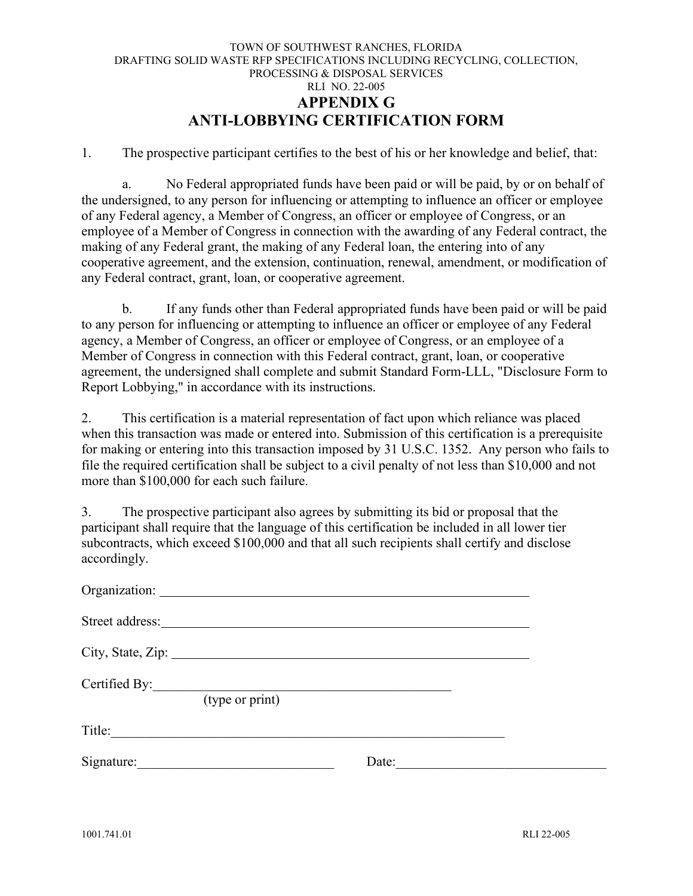#### TOWN OF SOUTHWEST RANCHES, FLORIDA DRAFTING SOLID WASTE RFP SPECIFICATIONS INCLUDING RECYCLING, COLLECTION, PROCESSING & DISPOSAL SERVICES RLI NO. 22-005 **APPENDIX G ANTI-LOBBYING CERTIFICATION FORM**

<span id="page-34-0"></span>1. The prospective participant certifies to the best of his or her knowledge and belief, that:

a. No Federal appropriated funds have been paid or will be paid, by or on behalf of the undersigned, to any person for influencing or attempting to influence an officer or employee of any Federal agency, a Member of Congress, an officer or employee of Congress, or an employee of a Member of Congress in connection with the awarding of any Federal contract, the making of any Federal grant, the making of any Federal loan, the entering into of any cooperative agreement, and the extension, continuation, renewal, amendment, or modification of any Federal contract, grant, loan, or cooperative agreement.

b. If any funds other than Federal appropriated funds have been paid or will be paid to any person for influencing or attempting to influence an officer or employee of any Federal agency, a Member of Congress, an officer or employee of Congress, or an employee of a Member of Congress in connection with this Federal contract, grant, loan, or cooperative agreement, the undersigned shall complete and submit Standard Form-LLL, "Disclosure Form to Report Lobbying," in accordance with its instructions.

2. This certification is a material representation of fact upon which reliance was placed when this transaction was made or entered into. Submission of this certification is a prerequisite for making or entering into this transaction imposed by 31 U.S.C. 1352. Any person who fails to file the required certification shall be subject to a civil penalty of not less than \$10,000 and not more than \$100,000 for each such failure.

3. The prospective participant also agrees by submitting its bid or proposal that the participant shall require that the language of this certification be included in all lower tier subcontracts, which exceed \$100,000 and that all such recipients shall certify and disclose accordingly.

| City, State, Zip: 2008. Example 2014. The State of Table 2014. |       |  |
|----------------------------------------------------------------|-------|--|
| Certified By:<br>(type or print)                               |       |  |
| Title:                                                         |       |  |
| Signature:                                                     | Date: |  |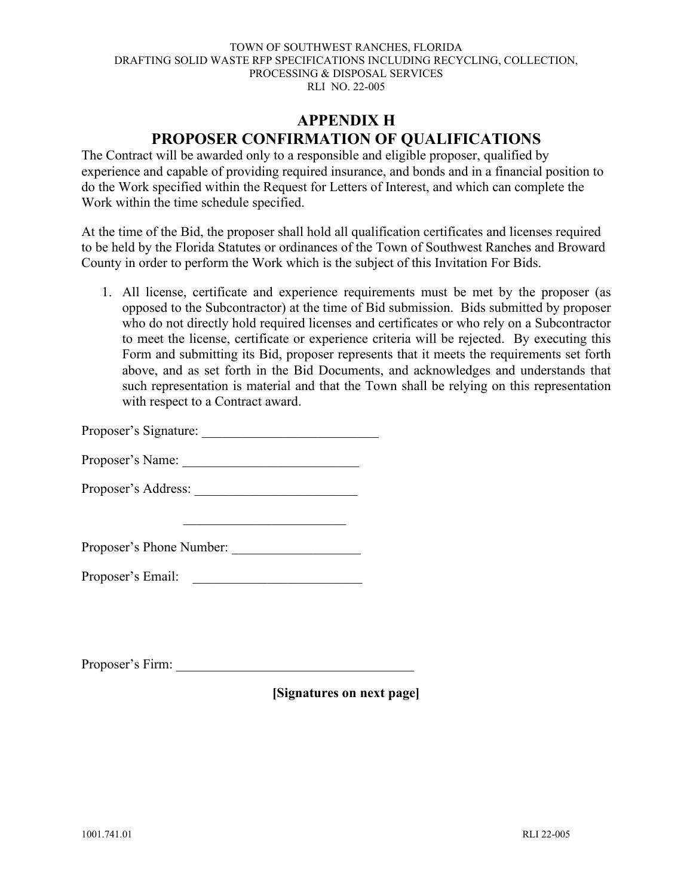### **APPENDIX H PROPOSER CONFIRMATION OF QUALIFICATIONS**

<span id="page-35-0"></span>The Contract will be awarded only to a responsible and eligible proposer, qualified by experience and capable of providing required insurance, and bonds and in a financial position to do the Work specified within the Request for Letters of Interest, and which can complete the Work within the time schedule specified.

At the time of the Bid, the proposer shall hold all qualification certificates and licenses required to be held by the Florida Statutes or ordinances of the Town of Southwest Ranches and Broward County in order to perform the Work which is the subject of this Invitation For Bids.

1. All license, certificate and experience requirements must be met by the proposer (as opposed to the Subcontractor) at the time of Bid submission. Bids submitted by proposer who do not directly hold required licenses and certificates or who rely on a Subcontractor to meet the license, certificate or experience criteria will be rejected. By executing this Form and submitting its Bid, proposer represents that it meets the requirements set forth above, and as set forth in the Bid Documents, and acknowledges and understands that such representation is material and that the Town shall be relying on this representation with respect to a Contract award.

Proposer's Signature:

Proposer's Name:

Proposer's Address:

Proposer's Phone Number: \_\_\_\_\_\_\_\_\_\_\_\_\_\_\_\_\_\_\_

Proposer's Email: \_\_\_\_\_\_\_\_\_\_\_\_\_\_\_\_\_\_\_\_\_\_\_\_\_

Proposer's Firm:

**[Signatures on next page]**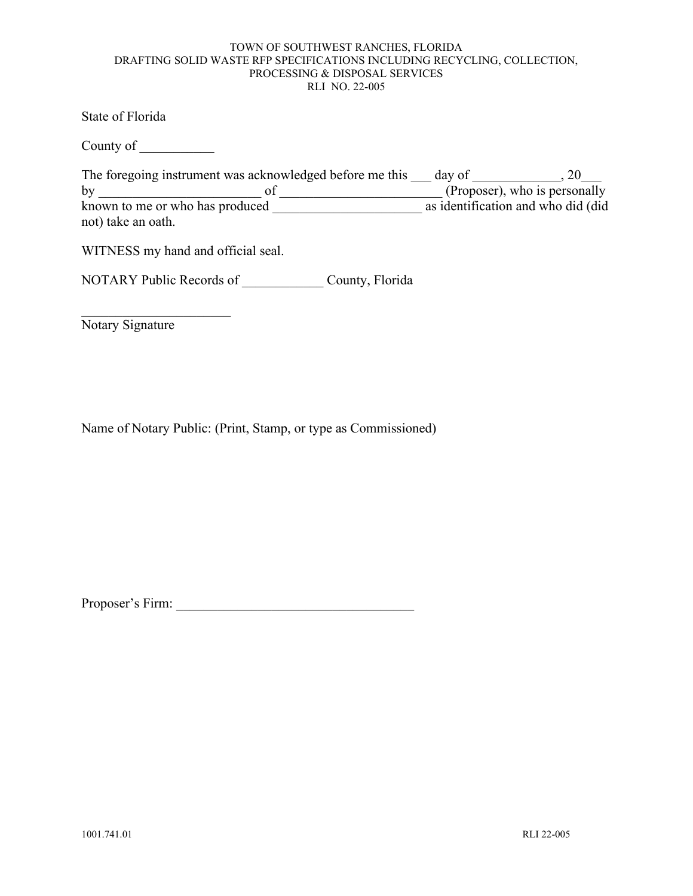State of Florida

County of \_\_\_\_\_\_\_\_\_\_\_

| The foregoing instrument was acknowledged before me this | day of                              |                               |
|----------------------------------------------------------|-------------------------------------|-------------------------------|
| by                                                       |                                     | (Proposer), who is personally |
| known to me or who has produced                          | as identification and who did (did) |                               |
| not) take an oath.                                       |                                     |                               |

WITNESS my hand and official seal.

NOTARY Public Records of County, Florida

Notary Signature

Name of Notary Public: (Print, Stamp, or type as Commissioned)

Proposer's Firm: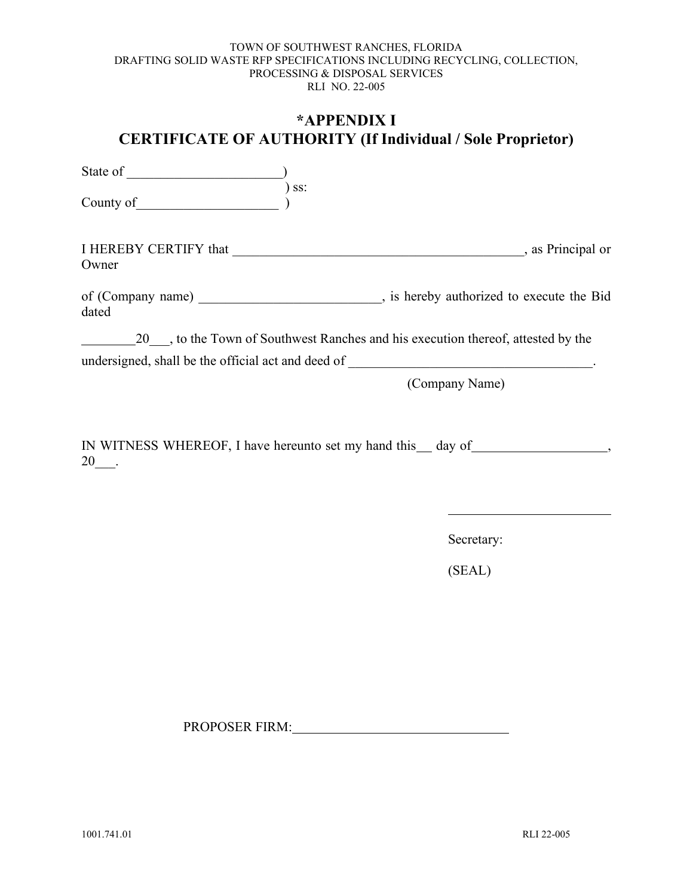### <span id="page-37-0"></span>**\*APPENDIX I CERTIFICATE OF AUTHORITY (If Individual / Sole Proprietor)**

State of  $\qquad \qquad$ ) ss: County of I HEREBY CERTIFY that \_\_\_\_\_\_\_\_\_\_\_\_\_\_\_\_\_\_\_\_\_\_\_\_\_\_\_\_\_\_\_\_\_\_\_\_\_\_\_\_\_\_\_, as Principal or Owner of (Company name) entries a set of (Company name) and  $\overline{B}$ , is hereby authorized to execute the Bid dated 20<sup>th</sup>, to the Town of Southwest Ranches and his execution thereof, attested by the undersigned, shall be the official act and deed of \_\_\_\_\_\_\_\_\_\_\_\_\_\_\_\_\_\_\_\_\_\_\_\_\_\_\_\_\_\_\_\_\_\_\_\_. (Company Name)

IN WITNESS WHEREOF, I have hereunto set my hand this day of , 20\_\_\_.

Secretary:

(SEAL)

PROPOSER FIRM: The contract of the contract of the contract of the contract of the contract of the contract of the contract of the contract of the contract of the contract of the contract of the contract of the contract of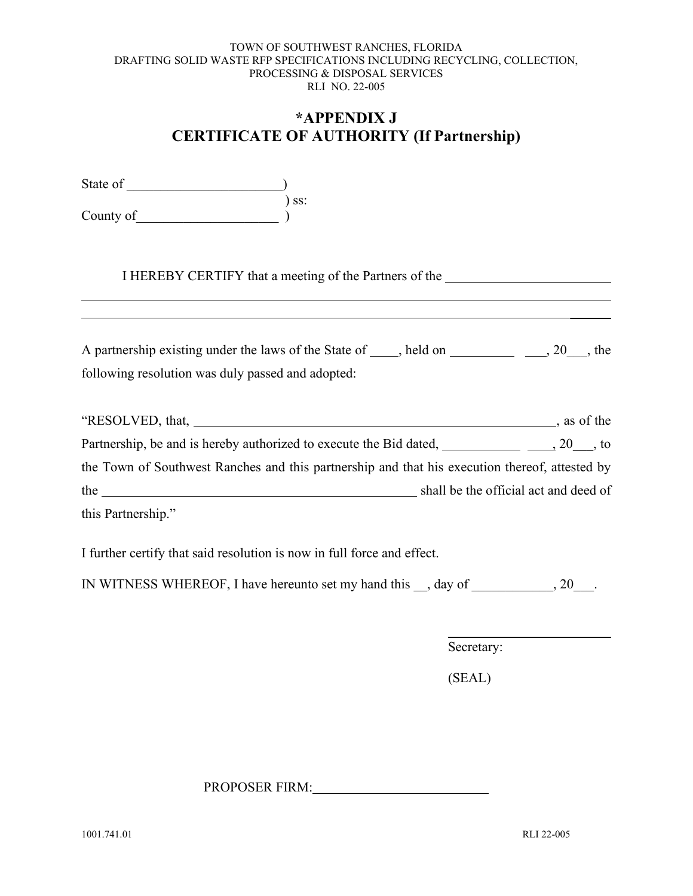### **\*APPENDIX J CERTIFICATE OF AUTHORITY (If Partnership)**

<span id="page-38-0"></span>

| State of  |       |
|-----------|-------|
|           | ) ss: |
| County of |       |

I HEREBY CERTIFY that a meeting of the Partners of the

| A partnership existing under the laws of the State of<br>held on | $, 20$ , the |
|------------------------------------------------------------------|--------------|
| following resolution was duly passed and adopted:                |              |

| "RESOLVED, that, $\_\_\_\_\_\_\_\_\_\_$                                                        |                                       | , as of the |
|------------------------------------------------------------------------------------------------|---------------------------------------|-------------|
| Partnership, be and is hereby authorized to execute the Bid dated,                             | $, 20$ , to                           |             |
| the Town of Southwest Ranches and this partnership and that his execution thereof, attested by |                                       |             |
| the                                                                                            | shall be the official act and deed of |             |
| this Partnership."                                                                             |                                       |             |

I further certify that said resolution is now in full force and effect.

IN WITNESS WHEREOF, I have hereunto set my hand this \_\_, day of \_\_\_\_\_\_\_\_\_\_\_\_, 20\_\_\_.

Secretary:

(SEAL)

PROPOSER FIRM: PROPOSER FIRM:

 $\frac{1}{2}$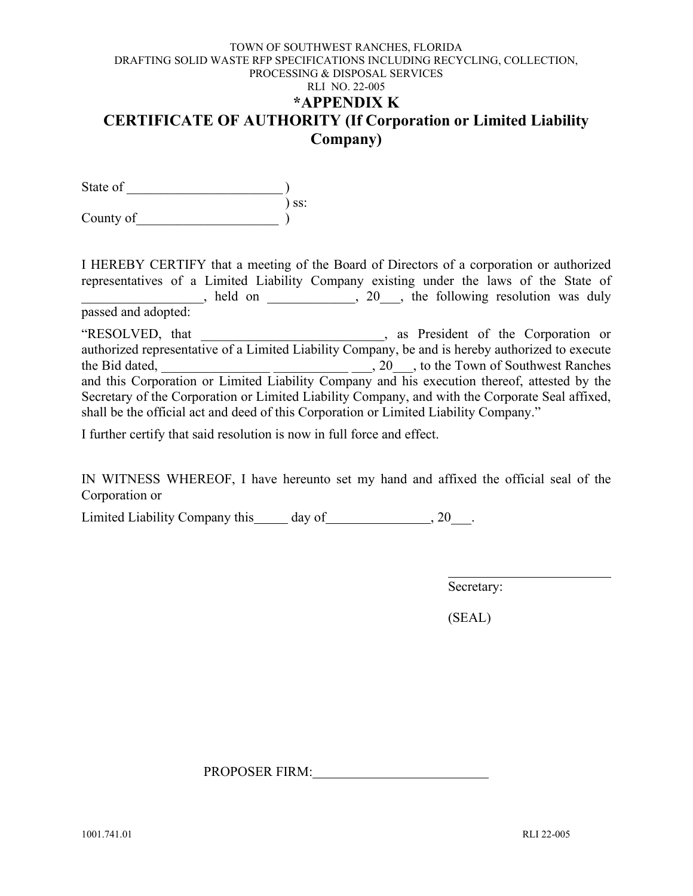#### <span id="page-39-0"></span>TOWN OF SOUTHWEST RANCHES, FLORIDA DRAFTING SOLID WASTE RFP SPECIFICATIONS INCLUDING RECYCLING, COLLECTION, PROCESSING & DISPOSAL SERVICES RLI NO. 22-005 **\*APPENDIX K CERTIFICATE OF AUTHORITY (If Corporation or Limited Liability Company)**

State of \_\_\_\_\_\_\_\_\_\_\_\_\_\_\_\_\_\_\_\_\_\_\_ ) ) ss: County of

I HEREBY CERTIFY that a meeting of the Board of Directors of a corporation or authorized representatives of a Limited Liability Company existing under the laws of the State of held on 20, the following resolution was duly passed and adopted:

"RESOLVED, that \_\_\_\_\_\_\_\_\_\_\_\_\_\_\_\_\_\_\_\_\_\_\_\_\_\_\_, as President of the Corporation or authorized representative of a Limited Liability Company, be and is hereby authorized to execute the Bid dated, <u>\_\_\_\_\_\_\_\_\_\_\_\_\_\_\_\_\_\_\_\_\_\_\_\_\_\_\_\_\_\_</u>\_\_\_\_, 20\_\_\_, to the Town of Southwest Ranches and this Corporation or Limited Liability Company and his execution thereof, attested by the Secretary of the Corporation or Limited Liability Company, and with the Corporate Seal affixed, shall be the official act and deed of this Corporation or Limited Liability Company."

I further certify that said resolution is now in full force and effect.

IN WITNESS WHEREOF, I have hereunto set my hand and affixed the official seal of the Corporation or

Limited Liability Company this day of  $\qquad \qquad .20$ .

Secretary:

(SEAL)

PROPOSER FIRM: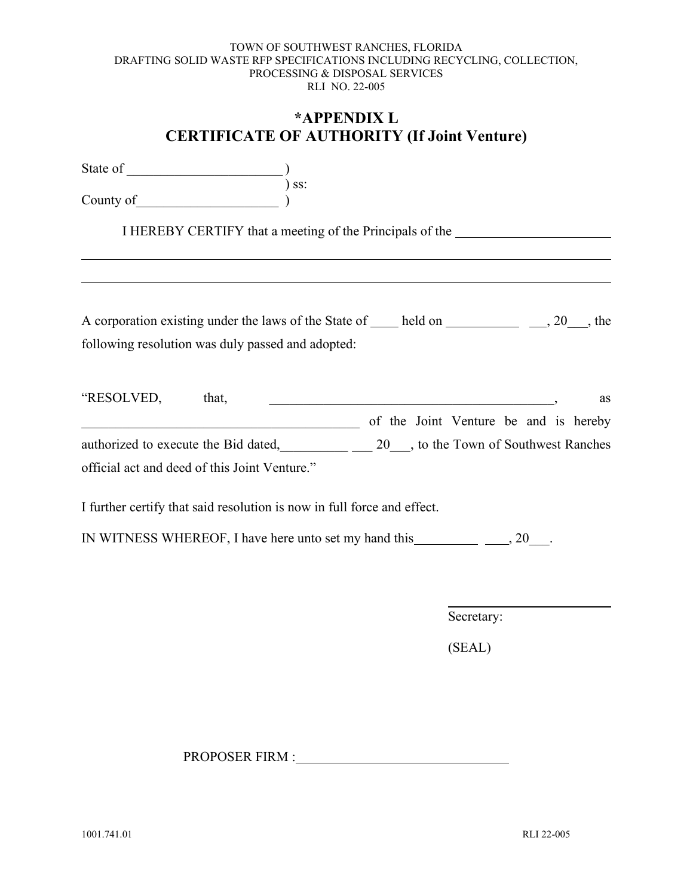### **\*APPENDIX L CERTIFICATE OF AUTHORITY (If Joint Venture)**

<span id="page-40-0"></span>

| State of  |       |
|-----------|-------|
|           | ) ss: |
| County of |       |

I HEREBY CERTIFY that a meeting of the Principals of the

| A corporation existing under the laws of the State of<br>held on | $, 20$ , the |
|------------------------------------------------------------------|--------------|
| following resolution was duly passed and adopted:                |              |

| "RESOLVED,                           | that,                                         |  |                                       |  | as |
|--------------------------------------|-----------------------------------------------|--|---------------------------------------|--|----|
|                                      |                                               |  | of the Joint Venture be and is hereby |  |    |
| authorized to execute the Bid dated, |                                               |  | 20, to the Town of Southwest Ranches  |  |    |
|                                      | official act and deed of this Joint Venture." |  |                                       |  |    |

I further certify that said resolution is now in full force and effect.

IN WITNESS WHEREOF, I have here unto set my hand this  $\frac{1}{2}$ , 20.

Secretary:

(SEAL)

PROPOSER FIRM :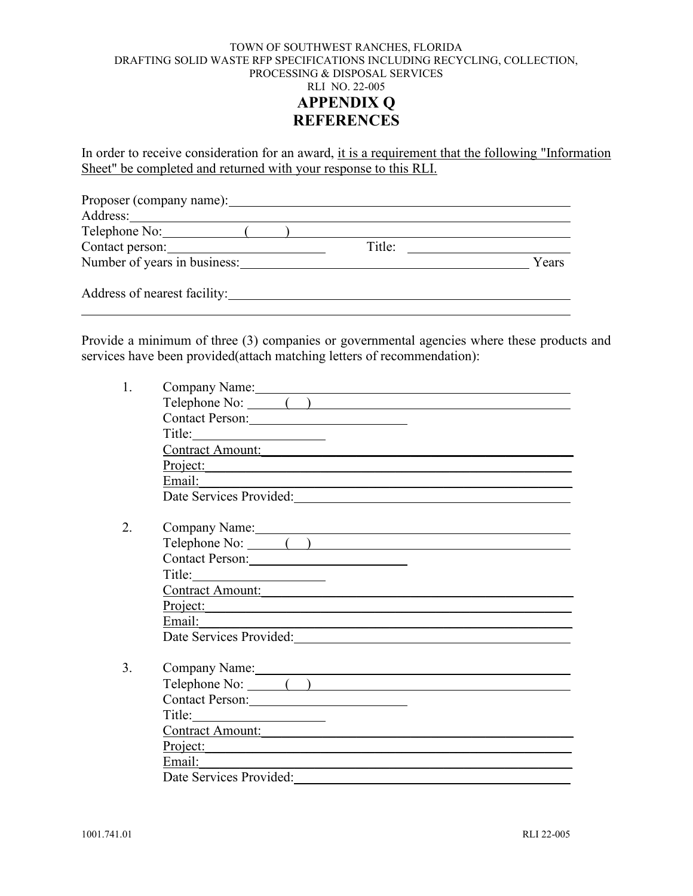<span id="page-41-0"></span>In order to receive consideration for an award, it is a requirement that the following "Information Sheet" be completed and returned with your response to this RLI.

| Proposer (company name):     |        |       |
|------------------------------|--------|-------|
| Address:                     |        |       |
| Telephone No:                |        |       |
| Contact person:              | Title: |       |
| Number of years in business: |        | Years |
| Address of nearest facility: |        |       |

Provide a minimum of three (3) companies or governmental agencies where these products and services have been provided(attach matching letters of recommendation):

| Telephone No: ()                   |
|------------------------------------|
| Contact Person:                    |
| Title:                             |
| Contract Amount:                   |
| Project:                           |
|                                    |
|                                    |
|                                    |
| Company Name:<br>Telephone No: ( ) |
| Contact Person:                    |
| Title: $\qquad \qquad$             |
| Contract Amount:                   |
| Project:                           |
| Email:                             |
|                                    |
|                                    |
| Company Name:<br>Telephone No: ( ) |
|                                    |
| Contact Person:                    |
|                                    |
| Contract Amount:                   |
| Project:                           |
| Email: ____                        |
| Date Services Provided:            |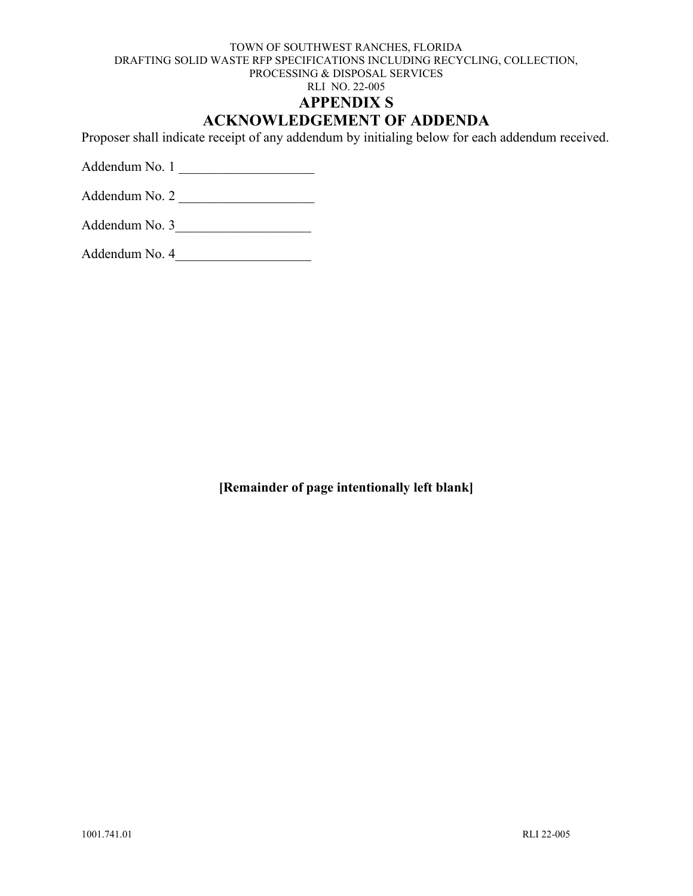RLI NO. 22-005

#### **APPENDIX S**

### **ACKNOWLEDGEMENT OF ADDENDA**

<span id="page-42-0"></span>Proposer shall indicate receipt of any addendum by initialing below for each addendum received.

Addendum No. 1

Addendum No. 2 \_\_\_\_\_\_\_\_\_\_\_\_\_\_\_\_\_\_\_\_

Addendum No. 4\_\_\_\_\_\_\_\_\_\_\_\_\_\_\_\_\_\_\_\_

**[Remainder of page intentionally left blank]**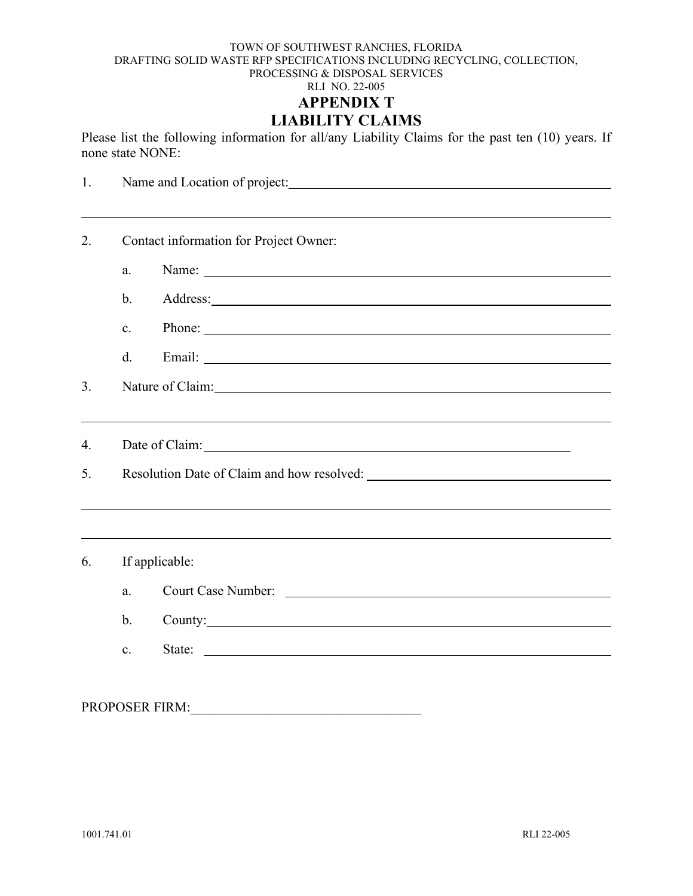<span id="page-43-0"></span>Please list the following information for all/any Liability Claims for the past ten (10) years. If none state NONE:

| 1. |                                                                                  |  |
|----|----------------------------------------------------------------------------------|--|
|    |                                                                                  |  |
| 2. | Contact information for Project Owner:                                           |  |
|    | Name: Name:<br>a.                                                                |  |
|    | $\mathbf b$ .                                                                    |  |
|    | Phone:<br>$\mathbf{c}$ .                                                         |  |
|    | d.                                                                               |  |
| 3. | Nature of Claim: Nature of Claim:                                                |  |
|    | ,我们也不会有什么。""我们的人,我们也不会有什么?""我们的人,我们也不会有什么?""我们的人,我们也不会有什么?""我们的人,我们也不会有什么?""我们的人 |  |
| 4. |                                                                                  |  |
| 5. |                                                                                  |  |
|    |                                                                                  |  |
|    |                                                                                  |  |
| 6. | If applicable:                                                                   |  |
|    | Court Case Number:<br>a.                                                         |  |
|    | $\mathbf{b}$ .<br>County:                                                        |  |
|    | $\mathbf{c}$ .                                                                   |  |
|    |                                                                                  |  |
|    | <b>PROPOSER FIRM:</b>                                                            |  |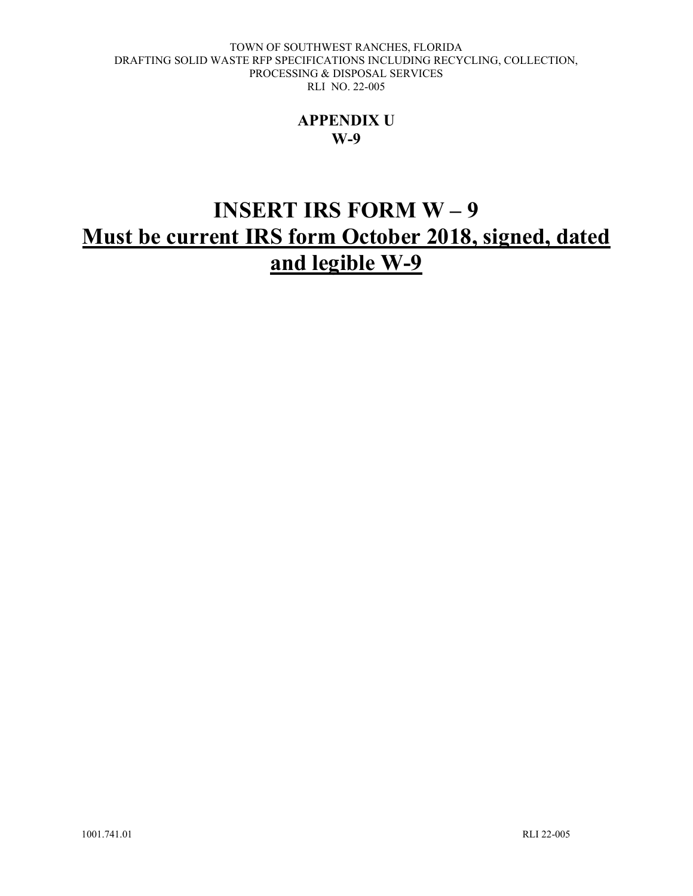### **APPENDIX U W-9**

# <span id="page-44-0"></span>**INSERT IRS FORM W – 9 Must be current IRS form October 2018, signed, dated and legible W-9**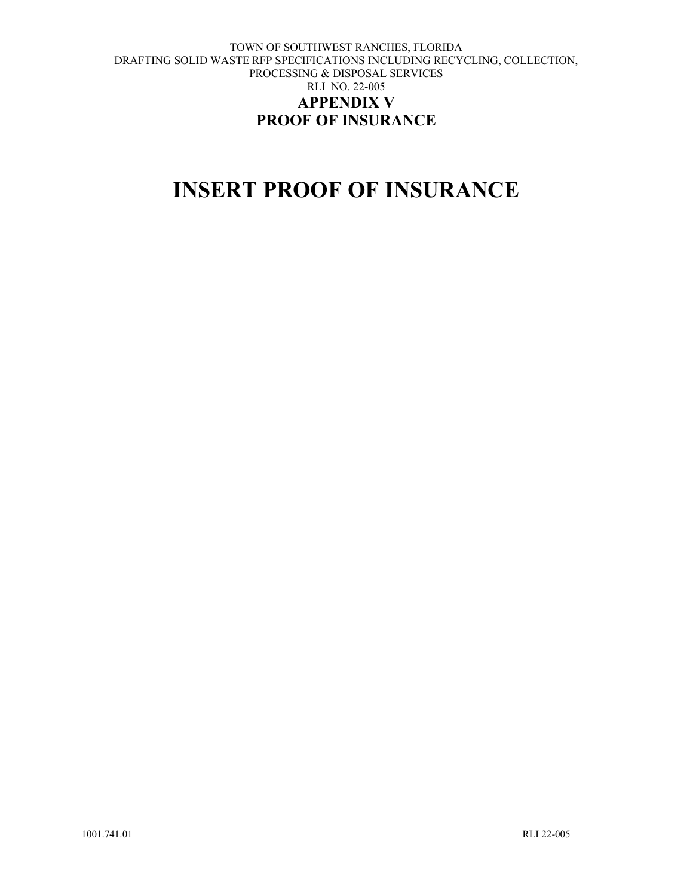# <span id="page-45-0"></span>**INSERT PROOF OF INSURANCE**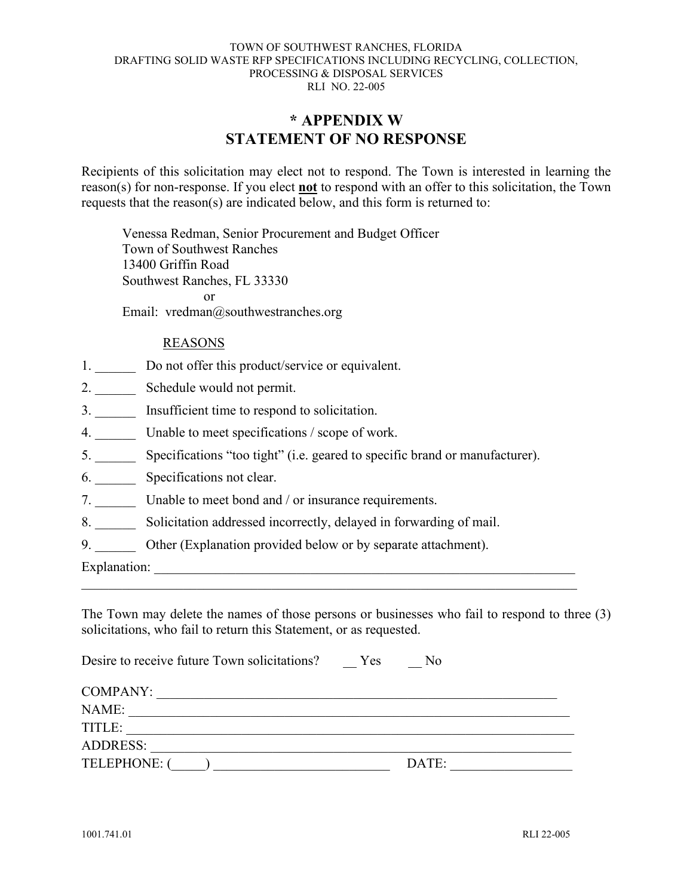### **\* APPENDIX W STATEMENT OF NO RESPONSE**

<span id="page-46-0"></span>Recipients of this solicitation may elect not to respond. The Town is interested in learning the reason(s) for non-response. If you elect **not** to respond with an offer to this solicitation, the Town requests that the reason(s) are indicated below, and this form is returned to:

Venessa Redman, Senior Procurement and Budget Officer Town of Southwest Ranches 13400 Griffin Road Southwest Ranches, FL 33330 or Email: vredman@southwestranches.org

#### REASONS

- 1. Do not offer this product/service or equivalent.
- 2. \_\_\_\_\_\_ Schedule would not permit.
- 3. \_\_\_\_\_\_ Insufficient time to respond to solicitation.
- 4. \_\_\_\_\_\_ Unable to meet specifications / scope of work.
- 5. \_\_\_\_\_\_ Specifications "too tight" (i.e. geared to specific brand or manufacturer).
- 6. \_\_\_\_\_\_ Specifications not clear.
- 7. Unable to meet bond and / or insurance requirements.
- 8. \_\_\_\_\_\_ Solicitation addressed incorrectly, delayed in forwarding of mail.
- 9. Other (Explanation provided below or by separate attachment).

Explanation:

The Town may delete the names of those persons or businesses who fail to respond to three (3) solicitations, who fail to return this Statement, or as requested.

| Desire to receive future Town solicitations? | Yes<br>N <sub>0</sub> |  |
|----------------------------------------------|-----------------------|--|
| COMPANY:                                     |                       |  |
| NAME:                                        |                       |  |
| TITLE:                                       |                       |  |
| ADDRESS:                                     |                       |  |
| TELEPHONE: (                                 | DATE:                 |  |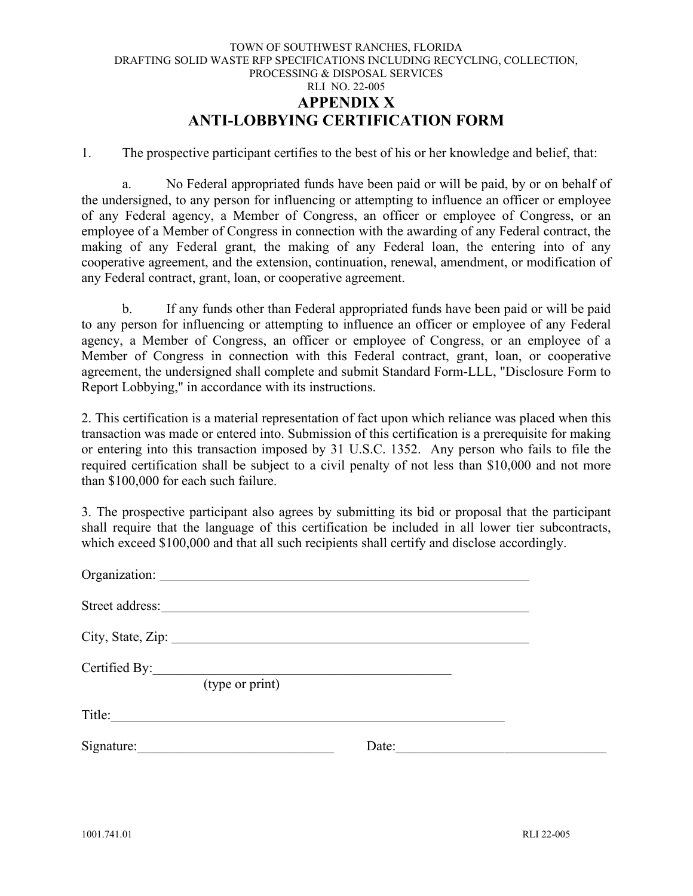#### TOWN OF SOUTHWEST RANCHES, FLORIDA DRAFTING SOLID WASTE RFP SPECIFICATIONS INCLUDING RECYCLING, COLLECTION, PROCESSING & DISPOSAL SERVICES RLI NO. 22-005 **APPENDIX X ANTI-LOBBYING CERTIFICATION FORM**

<span id="page-47-0"></span>1. The prospective participant certifies to the best of his or her knowledge and belief, that:

a. No Federal appropriated funds have been paid or will be paid, by or on behalf of the undersigned, to any person for influencing or attempting to influence an officer or employee of any Federal agency, a Member of Congress, an officer or employee of Congress, or an employee of a Member of Congress in connection with the awarding of any Federal contract, the making of any Federal grant, the making of any Federal loan, the entering into of any cooperative agreement, and the extension, continuation, renewal, amendment, or modification of any Federal contract, grant, loan, or cooperative agreement.

b. If any funds other than Federal appropriated funds have been paid or will be paid to any person for influencing or attempting to influence an officer or employee of any Federal agency, a Member of Congress, an officer or employee of Congress, or an employee of a Member of Congress in connection with this Federal contract, grant, loan, or cooperative agreement, the undersigned shall complete and submit Standard Form-LLL, "Disclosure Form to Report Lobbying," in accordance with its instructions.

2. This certification is a material representation of fact upon which reliance was placed when this transaction was made or entered into. Submission of this certification is a prerequisite for making or entering into this transaction imposed by 31 U.S.C. 1352. Any person who fails to file the required certification shall be subject to a civil penalty of not less than \$10,000 and not more than \$100,000 for each such failure.

3. The prospective participant also agrees by submitting its bid or proposal that the participant shall require that the language of this certification be included in all lower tier subcontracts, which exceed \$100,000 and that all such recipients shall certify and disclose accordingly.

| Organization:                                                         |       |  |
|-----------------------------------------------------------------------|-------|--|
|                                                                       |       |  |
| City, State, Zip:                                                     |       |  |
| Certified By:<br>the company of the company of the<br>(type or print) |       |  |
| Title:                                                                |       |  |
| Signature:                                                            | Date: |  |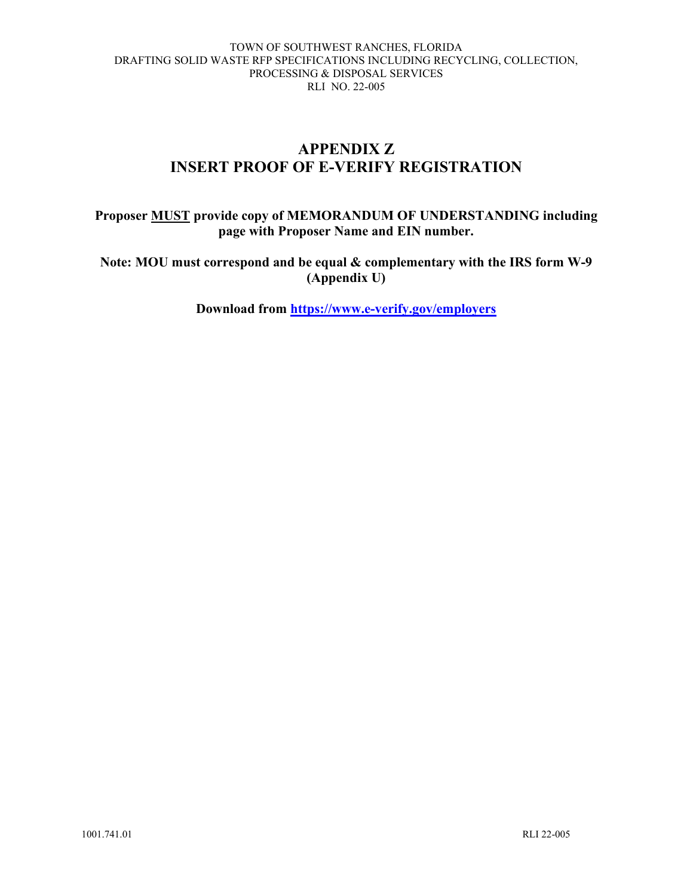### **APPENDIX Z INSERT PROOF OF E-VERIFY REGISTRATION**

### <span id="page-48-0"></span>**Proposer MUST provide copy of MEMORANDUM OF UNDERSTANDING including page with Proposer Name and EIN number.**

**Note: MOU must correspond and be equal & complementary with the IRS form W-9 (Appendix U)**

**Download from<https://www.e-verify.gov/employers>**